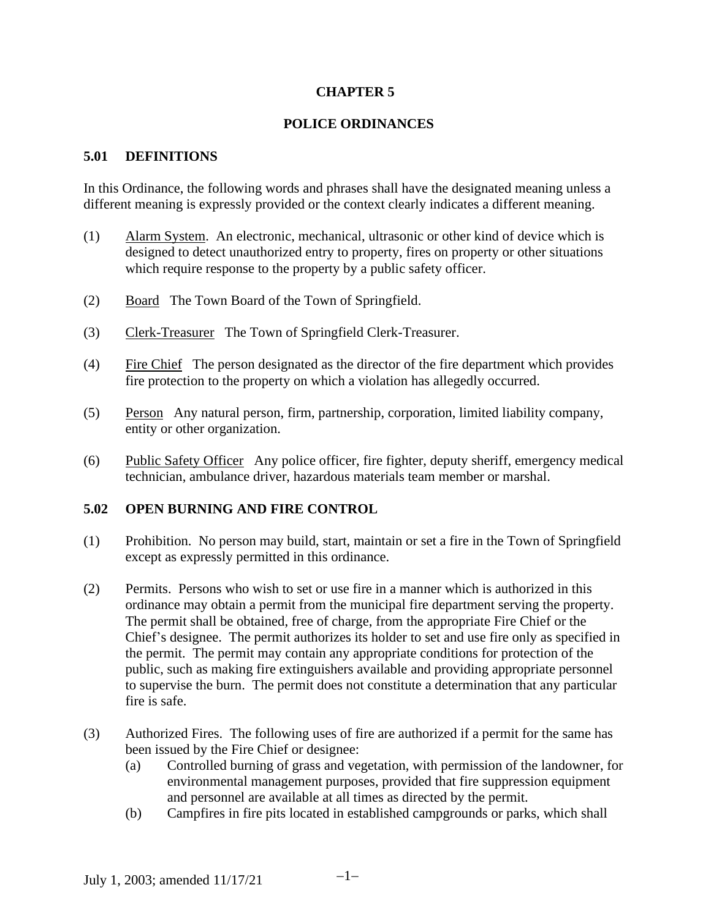## **CHAPTER 5**

#### **POLICE ORDINANCES**

#### **5.01 DEFINITIONS**

In this Ordinance, the following words and phrases shall have the designated meaning unless a different meaning is expressly provided or the context clearly indicates a different meaning.

- (1) Alarm System. An electronic, mechanical, ultrasonic or other kind of device which is designed to detect unauthorized entry to property, fires on property or other situations which require response to the property by a public safety officer.
- (2) Board The Town Board of the Town of Springfield.
- (3) Clerk-Treasurer The Town of Springfield Clerk-Treasurer.
- (4) Fire Chief The person designated as the director of the fire department which provides fire protection to the property on which a violation has allegedly occurred.
- (5) Person Any natural person, firm, partnership, corporation, limited liability company, entity or other organization.
- (6) Public Safety Officer Any police officer, fire fighter, deputy sheriff, emergency medical technician, ambulance driver, hazardous materials team member or marshal.

#### **5.02 OPEN BURNING AND FIRE CONTROL**

- (1) Prohibition. No person may build, start, maintain or set a fire in the Town of Springfield except as expressly permitted in this ordinance.
- (2) Permits. Persons who wish to set or use fire in a manner which is authorized in this ordinance may obtain a permit from the municipal fire department serving the property. The permit shall be obtained, free of charge, from the appropriate Fire Chief or the Chief's designee. The permit authorizes its holder to set and use fire only as specified in the permit. The permit may contain any appropriate conditions for protection of the public, such as making fire extinguishers available and providing appropriate personnel to supervise the burn. The permit does not constitute a determination that any particular fire is safe.
- (3) Authorized Fires. The following uses of fire are authorized if a permit for the same has been issued by the Fire Chief or designee:
	- (a) Controlled burning of grass and vegetation, with permission of the landowner, for environmental management purposes, provided that fire suppression equipment and personnel are available at all times as directed by the permit.
	- (b) Campfires in fire pits located in established campgrounds or parks, which shall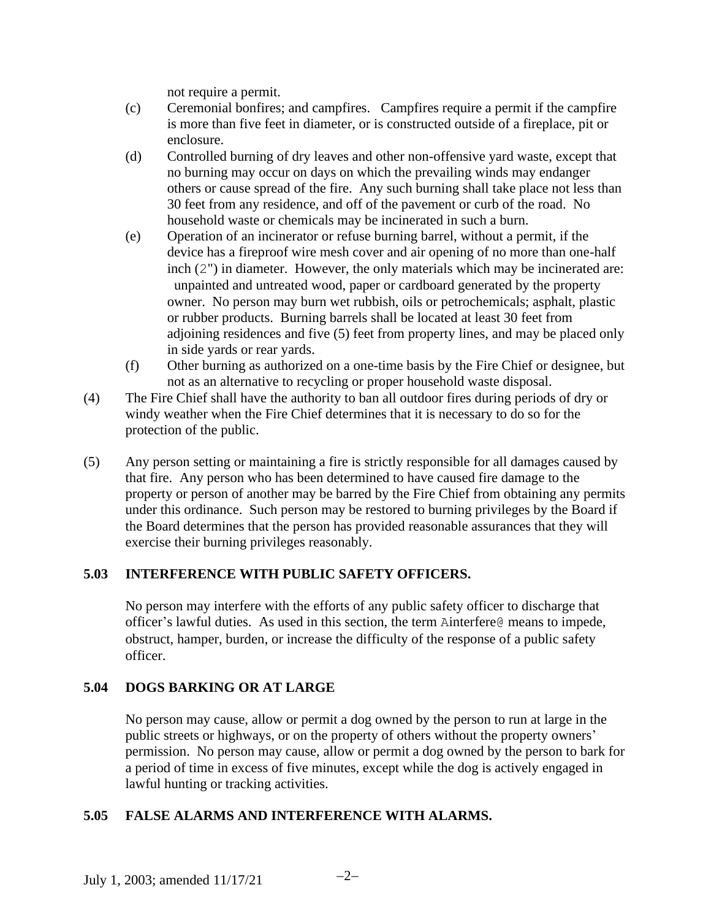not require a permit.

- (c) Ceremonial bonfires; and campfires. Campfires require a permit if the campfire is more than five feet in diameter, or is constructed outside of a fireplace, pit or enclosure.
- (d) Controlled burning of dry leaves and other non-offensive yard waste, except that no burning may occur on days on which the prevailing winds may endanger others or cause spread of the fire. Any such burning shall take place not less than 30 feet from any residence, and off of the pavement or curb of the road. No household waste or chemicals may be incinerated in such a burn.
- (e) Operation of an incinerator or refuse burning barrel, without a permit, if the device has a fireproof wire mesh cover and air opening of no more than one-half inch (2") in diameter. However, the only materials which may be incinerated are: unpainted and untreated wood, paper or cardboard generated by the property owner. No person may burn wet rubbish, oils or petrochemicals; asphalt, plastic or rubber products. Burning barrels shall be located at least 30 feet from adjoining residences and five (5) feet from property lines, and may be placed only in side yards or rear yards.
- (f) Other burning as authorized on a one-time basis by the Fire Chief or designee, but not as an alternative to recycling or proper household waste disposal.
- (4) The Fire Chief shall have the authority to ban all outdoor fires during periods of dry or windy weather when the Fire Chief determines that it is necessary to do so for the protection of the public.
- (5) Any person setting or maintaining a fire is strictly responsible for all damages caused by that fire. Any person who has been determined to have caused fire damage to the property or person of another may be barred by the Fire Chief from obtaining any permits under this ordinance. Such person may be restored to burning privileges by the Board if the Board determines that the person has provided reasonable assurances that they will exercise their burning privileges reasonably.

## **5.03 INTERFERENCE WITH PUBLIC SAFETY OFFICERS.**

No person may interfere with the efforts of any public safety officer to discharge that officer's lawful duties. As used in this section, the term Ainterfere@ means to impede, obstruct, hamper, burden, or increase the difficulty of the response of a public safety officer.

## **5.04 DOGS BARKING OR AT LARGE**

No person may cause, allow or permit a dog owned by the person to run at large in the public streets or highways, or on the property of others without the property owners' permission. No person may cause, allow or permit a dog owned by the person to bark for a period of time in excess of five minutes, except while the dog is actively engaged in lawful hunting or tracking activities.

## **5.05 FALSE ALARMS AND INTERFERENCE WITH ALARMS.**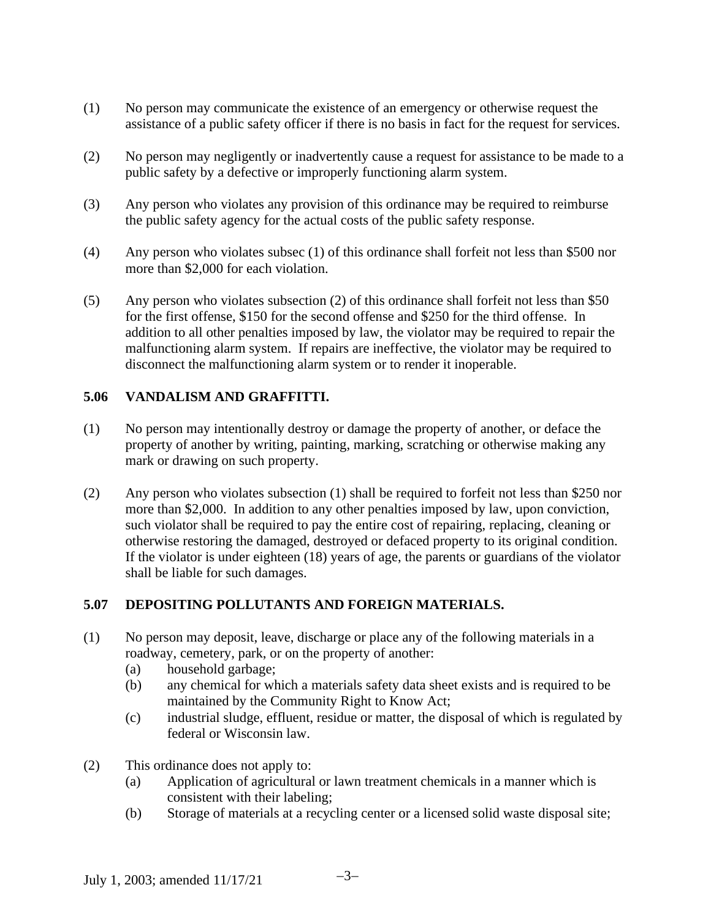- (1) No person may communicate the existence of an emergency or otherwise request the assistance of a public safety officer if there is no basis in fact for the request for services.
- (2) No person may negligently or inadvertently cause a request for assistance to be made to a public safety by a defective or improperly functioning alarm system.
- (3) Any person who violates any provision of this ordinance may be required to reimburse the public safety agency for the actual costs of the public safety response.
- (4) Any person who violates subsec (1) of this ordinance shall forfeit not less than \$500 nor more than \$2,000 for each violation.
- (5) Any person who violates subsection (2) of this ordinance shall forfeit not less than \$50 for the first offense, \$150 for the second offense and \$250 for the third offense. In addition to all other penalties imposed by law, the violator may be required to repair the malfunctioning alarm system. If repairs are ineffective, the violator may be required to disconnect the malfunctioning alarm system or to render it inoperable.

## **5.06 VANDALISM AND GRAFFITTI.**

- (1) No person may intentionally destroy or damage the property of another, or deface the property of another by writing, painting, marking, scratching or otherwise making any mark or drawing on such property.
- (2) Any person who violates subsection (1) shall be required to forfeit not less than \$250 nor more than \$2,000. In addition to any other penalties imposed by law, upon conviction, such violator shall be required to pay the entire cost of repairing, replacing, cleaning or otherwise restoring the damaged, destroyed or defaced property to its original condition. If the violator is under eighteen (18) years of age, the parents or guardians of the violator shall be liable for such damages.

## **5.07 DEPOSITING POLLUTANTS AND FOREIGN MATERIALS.**

- (1) No person may deposit, leave, discharge or place any of the following materials in a roadway, cemetery, park, or on the property of another:
	- (a) household garbage;
	- (b) any chemical for which a materials safety data sheet exists and is required to be maintained by the Community Right to Know Act;
	- (c) industrial sludge, effluent, residue or matter, the disposal of which is regulated by federal or Wisconsin law.
- (2) This ordinance does not apply to:
	- (a) Application of agricultural or lawn treatment chemicals in a manner which is consistent with their labeling;
	- (b) Storage of materials at a recycling center or a licensed solid waste disposal site;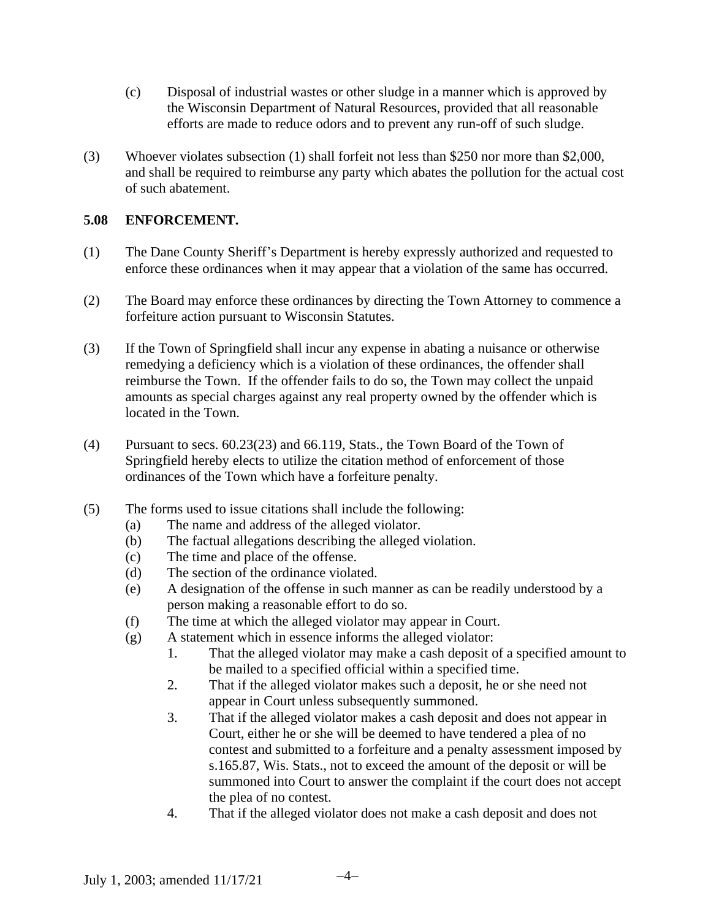- (c) Disposal of industrial wastes or other sludge in a manner which is approved by the Wisconsin Department of Natural Resources, provided that all reasonable efforts are made to reduce odors and to prevent any run-off of such sludge.
- (3) Whoever violates subsection (1) shall forfeit not less than \$250 nor more than \$2,000, and shall be required to reimburse any party which abates the pollution for the actual cost of such abatement.

#### **5.08 ENFORCEMENT.**

- (1) The Dane County Sheriff's Department is hereby expressly authorized and requested to enforce these ordinances when it may appear that a violation of the same has occurred.
- (2) The Board may enforce these ordinances by directing the Town Attorney to commence a forfeiture action pursuant to Wisconsin Statutes.
- (3) If the Town of Springfield shall incur any expense in abating a nuisance or otherwise remedying a deficiency which is a violation of these ordinances, the offender shall reimburse the Town. If the offender fails to do so, the Town may collect the unpaid amounts as special charges against any real property owned by the offender which is located in the Town.
- (4) Pursuant to secs. 60.23(23) and 66.119, Stats., the Town Board of the Town of Springfield hereby elects to utilize the citation method of enforcement of those ordinances of the Town which have a forfeiture penalty.
- (5) The forms used to issue citations shall include the following:
	- (a) The name and address of the alleged violator.
	- (b) The factual allegations describing the alleged violation.
	- (c) The time and place of the offense.
	- (d) The section of the ordinance violated.
	- (e) A designation of the offense in such manner as can be readily understood by a person making a reasonable effort to do so.
	- (f) The time at which the alleged violator may appear in Court.
	- (g) A statement which in essence informs the alleged violator:
		- 1. That the alleged violator may make a cash deposit of a specified amount to be mailed to a specified official within a specified time.
		- 2. That if the alleged violator makes such a deposit, he or she need not appear in Court unless subsequently summoned.
		- 3. That if the alleged violator makes a cash deposit and does not appear in Court, either he or she will be deemed to have tendered a plea of no contest and submitted to a forfeiture and a penalty assessment imposed by s.165.87, Wis. Stats., not to exceed the amount of the deposit or will be summoned into Court to answer the complaint if the court does not accept the plea of no contest.
		- 4. That if the alleged violator does not make a cash deposit and does not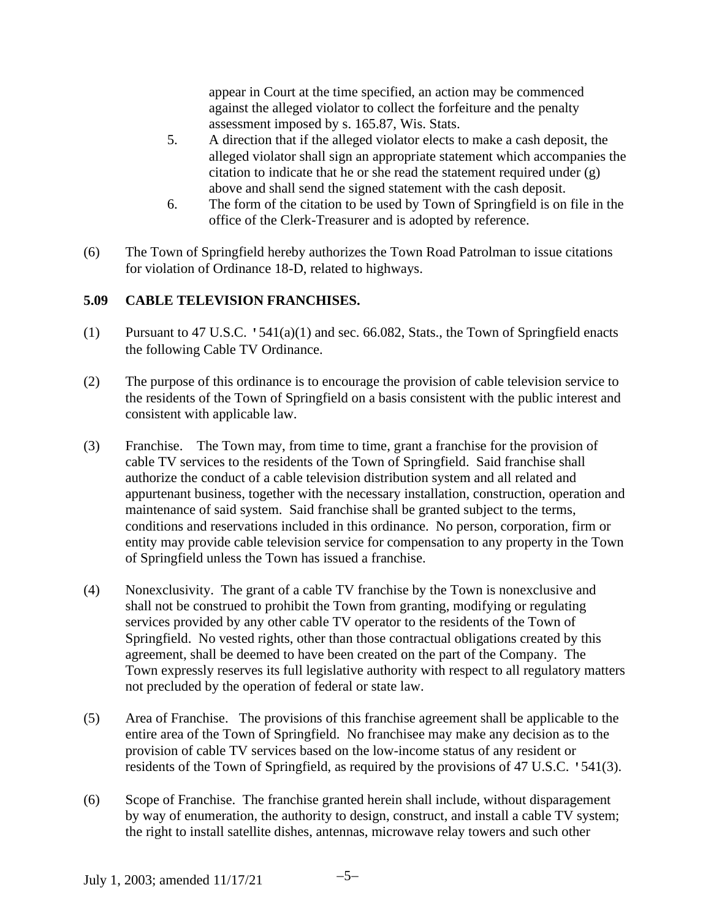appear in Court at the time specified, an action may be commenced against the alleged violator to collect the forfeiture and the penalty assessment imposed by s. 165.87, Wis. Stats.

- 5. A direction that if the alleged violator elects to make a cash deposit, the alleged violator shall sign an appropriate statement which accompanies the citation to indicate that he or she read the statement required under (g) above and shall send the signed statement with the cash deposit.
- 6. The form of the citation to be used by Town of Springfield is on file in the office of the Clerk-Treasurer and is adopted by reference.
- (6) The Town of Springfield hereby authorizes the Town Road Patrolman to issue citations for violation of Ordinance 18-D, related to highways.

# **5.09 CABLE TELEVISION FRANCHISES.**

- (1) Pursuant to 47 U.S.C.  $\cdot$  541(a)(1) and sec. 66.082, Stats., the Town of Springfield enacts the following Cable TV Ordinance.
- (2) The purpose of this ordinance is to encourage the provision of cable television service to the residents of the Town of Springfield on a basis consistent with the public interest and consistent with applicable law.
- (3) Franchise. The Town may, from time to time, grant a franchise for the provision of cable TV services to the residents of the Town of Springfield. Said franchise shall authorize the conduct of a cable television distribution system and all related and appurtenant business, together with the necessary installation, construction, operation and maintenance of said system. Said franchise shall be granted subject to the terms, conditions and reservations included in this ordinance. No person, corporation, firm or entity may provide cable television service for compensation to any property in the Town of Springfield unless the Town has issued a franchise.
- (4) Nonexclusivity. The grant of a cable TV franchise by the Town is nonexclusive and shall not be construed to prohibit the Town from granting, modifying or regulating services provided by any other cable TV operator to the residents of the Town of Springfield. No vested rights, other than those contractual obligations created by this agreement, shall be deemed to have been created on the part of the Company. The Town expressly reserves its full legislative authority with respect to all regulatory matters not precluded by the operation of federal or state law.
- (5) Area of Franchise. The provisions of this franchise agreement shall be applicable to the entire area of the Town of Springfield. No franchisee may make any decision as to the provision of cable TV services based on the low-income status of any resident or residents of the Town of Springfield, as required by the provisions of 47 U.S.C. '541(3).
- (6) Scope of Franchise. The franchise granted herein shall include, without disparagement by way of enumeration, the authority to design, construct, and install a cable TV system; the right to install satellite dishes, antennas, microwave relay towers and such other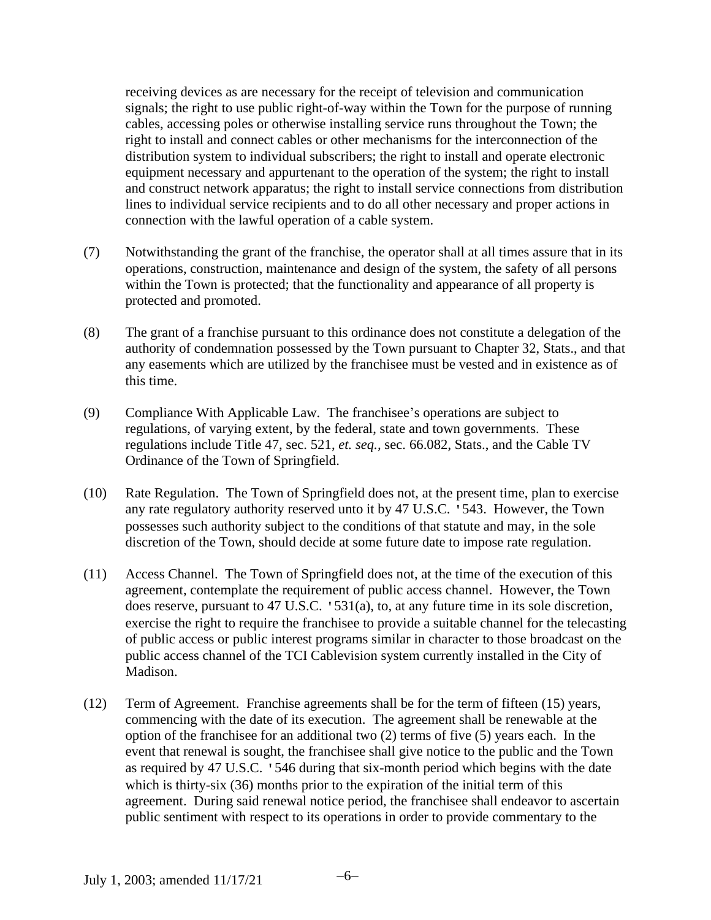receiving devices as are necessary for the receipt of television and communication signals; the right to use public right-of-way within the Town for the purpose of running cables, accessing poles or otherwise installing service runs throughout the Town; the right to install and connect cables or other mechanisms for the interconnection of the distribution system to individual subscribers; the right to install and operate electronic equipment necessary and appurtenant to the operation of the system; the right to install and construct network apparatus; the right to install service connections from distribution lines to individual service recipients and to do all other necessary and proper actions in connection with the lawful operation of a cable system.

- (7) Notwithstanding the grant of the franchise, the operator shall at all times assure that in its operations, construction, maintenance and design of the system, the safety of all persons within the Town is protected; that the functionality and appearance of all property is protected and promoted.
- (8) The grant of a franchise pursuant to this ordinance does not constitute a delegation of the authority of condemnation possessed by the Town pursuant to Chapter 32, Stats., and that any easements which are utilized by the franchisee must be vested and in existence as of this time.
- (9) Compliance With Applicable Law. The franchisee's operations are subject to regulations, of varying extent, by the federal, state and town governments. These regulations include Title 47, sec. 521, *et. seq.,* sec. 66.082, Stats., and the Cable TV Ordinance of the Town of Springfield.
- (10) Rate Regulation. The Town of Springfield does not, at the present time, plan to exercise any rate regulatory authority reserved unto it by 47 U.S.C. '543. However, the Town possesses such authority subject to the conditions of that statute and may, in the sole discretion of the Town, should decide at some future date to impose rate regulation.
- (11) Access Channel. The Town of Springfield does not, at the time of the execution of this agreement, contemplate the requirement of public access channel. However, the Town does reserve, pursuant to 47 U.S.C. '531(a), to, at any future time in its sole discretion, exercise the right to require the franchisee to provide a suitable channel for the telecasting of public access or public interest programs similar in character to those broadcast on the public access channel of the TCI Cablevision system currently installed in the City of Madison.
- (12) Term of Agreement. Franchise agreements shall be for the term of fifteen (15) years, commencing with the date of its execution. The agreement shall be renewable at the option of the franchisee for an additional two (2) terms of five (5) years each. In the event that renewal is sought, the franchisee shall give notice to the public and the Town as required by 47 U.S.C. '546 during that six-month period which begins with the date which is thirty-six (36) months prior to the expiration of the initial term of this agreement. During said renewal notice period, the franchisee shall endeavor to ascertain public sentiment with respect to its operations in order to provide commentary to the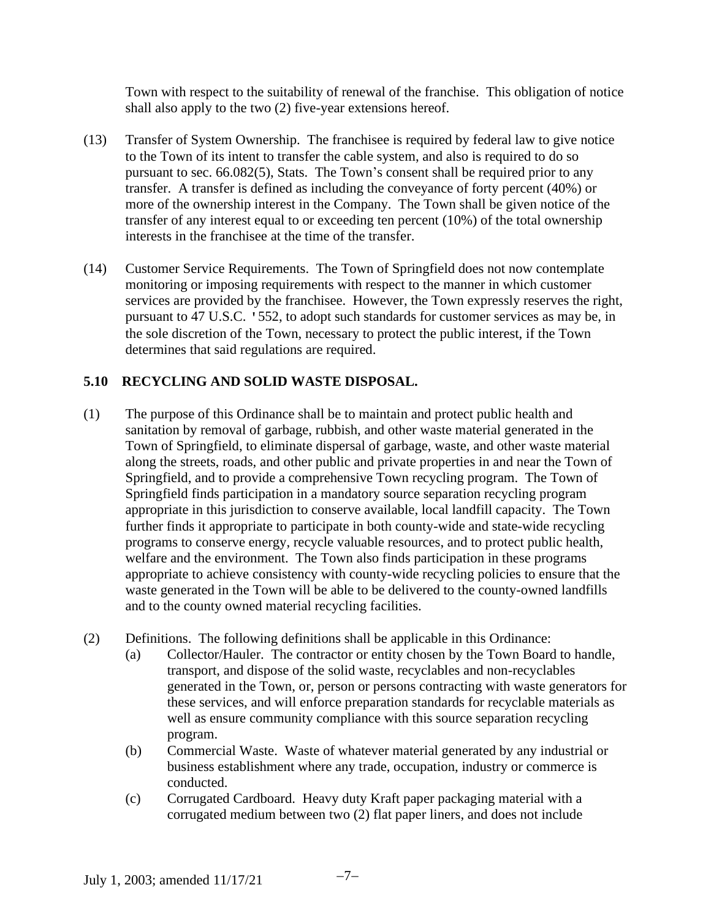Town with respect to the suitability of renewal of the franchise. This obligation of notice shall also apply to the two (2) five-year extensions hereof.

- (13) Transfer of System Ownership. The franchisee is required by federal law to give notice to the Town of its intent to transfer the cable system, and also is required to do so pursuant to sec. 66.082(5), Stats. The Town's consent shall be required prior to any transfer. A transfer is defined as including the conveyance of forty percent (40%) or more of the ownership interest in the Company. The Town shall be given notice of the transfer of any interest equal to or exceeding ten percent (10%) of the total ownership interests in the franchisee at the time of the transfer.
- (14) Customer Service Requirements. The Town of Springfield does not now contemplate monitoring or imposing requirements with respect to the manner in which customer services are provided by the franchisee. However, the Town expressly reserves the right, pursuant to 47 U.S.C. '552, to adopt such standards for customer services as may be, in the sole discretion of the Town, necessary to protect the public interest, if the Town determines that said regulations are required.

## **5.10 RECYCLING AND SOLID WASTE DISPOSAL.**

- (1) The purpose of this Ordinance shall be to maintain and protect public health and sanitation by removal of garbage, rubbish, and other waste material generated in the Town of Springfield, to eliminate dispersal of garbage, waste, and other waste material along the streets, roads, and other public and private properties in and near the Town of Springfield, and to provide a comprehensive Town recycling program. The Town of Springfield finds participation in a mandatory source separation recycling program appropriate in this jurisdiction to conserve available, local landfill capacity. The Town further finds it appropriate to participate in both county-wide and state-wide recycling programs to conserve energy, recycle valuable resources, and to protect public health, welfare and the environment. The Town also finds participation in these programs appropriate to achieve consistency with county-wide recycling policies to ensure that the waste generated in the Town will be able to be delivered to the county-owned landfills and to the county owned material recycling facilities.
- (2) Definitions. The following definitions shall be applicable in this Ordinance:
	- (a) Collector/Hauler. The contractor or entity chosen by the Town Board to handle, transport, and dispose of the solid waste, recyclables and non-recyclables generated in the Town, or, person or persons contracting with waste generators for these services, and will enforce preparation standards for recyclable materials as well as ensure community compliance with this source separation recycling program.
	- (b) Commercial Waste. Waste of whatever material generated by any industrial or business establishment where any trade, occupation, industry or commerce is conducted.
	- (c) Corrugated Cardboard. Heavy duty Kraft paper packaging material with a corrugated medium between two (2) flat paper liners, and does not include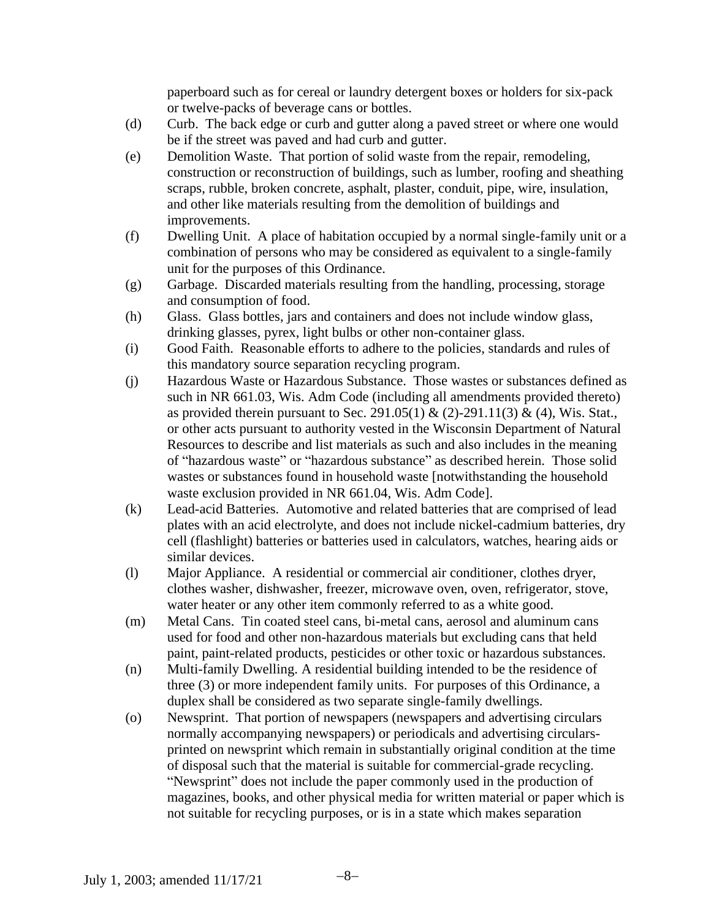paperboard such as for cereal or laundry detergent boxes or holders for six-pack or twelve-packs of beverage cans or bottles.

- (d) Curb. The back edge or curb and gutter along a paved street or where one would be if the street was paved and had curb and gutter.
- (e) Demolition Waste. That portion of solid waste from the repair, remodeling, construction or reconstruction of buildings, such as lumber, roofing and sheathing scraps, rubble, broken concrete, asphalt, plaster, conduit, pipe, wire, insulation, and other like materials resulting from the demolition of buildings and improvements.
- (f) Dwelling Unit. A place of habitation occupied by a normal single-family unit or a combination of persons who may be considered as equivalent to a single-family unit for the purposes of this Ordinance.
- (g) Garbage. Discarded materials resulting from the handling, processing, storage and consumption of food.
- (h) Glass. Glass bottles, jars and containers and does not include window glass, drinking glasses, pyrex, light bulbs or other non-container glass.
- (i) Good Faith. Reasonable efforts to adhere to the policies, standards and rules of this mandatory source separation recycling program.
- (j) Hazardous Waste or Hazardous Substance. Those wastes or substances defined as such in NR 661.03, Wis. Adm Code (including all amendments provided thereto) as provided therein pursuant to Sec. 291.05(1) & (2)-291.11(3) & (4), Wis. Stat., or other acts pursuant to authority vested in the Wisconsin Department of Natural Resources to describe and list materials as such and also includes in the meaning of "hazardous waste" or "hazardous substance" as described herein. Those solid wastes or substances found in household waste [notwithstanding the household waste exclusion provided in NR 661.04, Wis. Adm Code].
- (k) Lead-acid Batteries. Automotive and related batteries that are comprised of lead plates with an acid electrolyte, and does not include nickel-cadmium batteries, dry cell (flashlight) batteries or batteries used in calculators, watches, hearing aids or similar devices.
- (l) Major Appliance. A residential or commercial air conditioner, clothes dryer, clothes washer, dishwasher, freezer, microwave oven, oven, refrigerator, stove, water heater or any other item commonly referred to as a white good.
- (m) Metal Cans. Tin coated steel cans, bi-metal cans, aerosol and aluminum cans used for food and other non-hazardous materials but excluding cans that held paint, paint-related products, pesticides or other toxic or hazardous substances.
- (n) Multi-family Dwelling. A residential building intended to be the residence of three (3) or more independent family units. For purposes of this Ordinance, a duplex shall be considered as two separate single-family dwellings.
- (o) Newsprint. That portion of newspapers (newspapers and advertising circulars normally accompanying newspapers) or periodicals and advertising circularsprinted on newsprint which remain in substantially original condition at the time of disposal such that the material is suitable for commercial-grade recycling. "Newsprint" does not include the paper commonly used in the production of magazines, books, and other physical media for written material or paper which is not suitable for recycling purposes, or is in a state which makes separation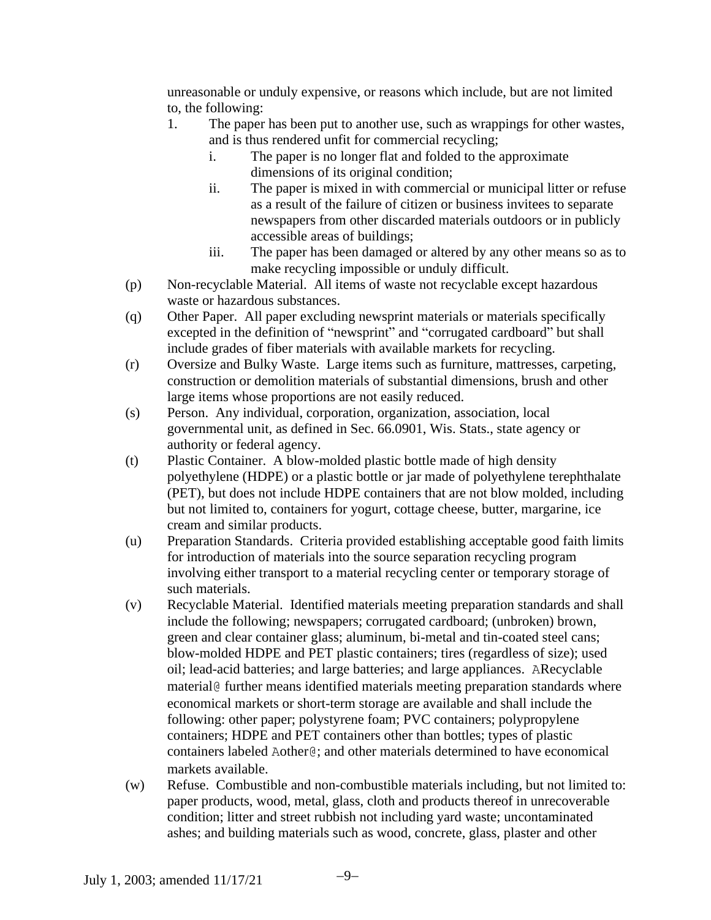unreasonable or unduly expensive, or reasons which include, but are not limited to, the following:

- 1. The paper has been put to another use, such as wrappings for other wastes, and is thus rendered unfit for commercial recycling;
	- i. The paper is no longer flat and folded to the approximate dimensions of its original condition;
	- ii. The paper is mixed in with commercial or municipal litter or refuse as a result of the failure of citizen or business invitees to separate newspapers from other discarded materials outdoors or in publicly accessible areas of buildings;
	- iii. The paper has been damaged or altered by any other means so as to make recycling impossible or unduly difficult.
- (p) Non-recyclable Material. All items of waste not recyclable except hazardous waste or hazardous substances.
- (q) Other Paper. All paper excluding newsprint materials or materials specifically excepted in the definition of "newsprint" and "corrugated cardboard" but shall include grades of fiber materials with available markets for recycling.
- (r) Oversize and Bulky Waste. Large items such as furniture, mattresses, carpeting, construction or demolition materials of substantial dimensions, brush and other large items whose proportions are not easily reduced.
- (s) Person. Any individual, corporation, organization, association, local governmental unit, as defined in Sec. 66.0901, Wis. Stats., state agency or authority or federal agency.
- (t) Plastic Container. A blow-molded plastic bottle made of high density polyethylene (HDPE) or a plastic bottle or jar made of polyethylene terephthalate (PET), but does not include HDPE containers that are not blow molded, including but not limited to, containers for yogurt, cottage cheese, butter, margarine, ice cream and similar products.
- (u) Preparation Standards. Criteria provided establishing acceptable good faith limits for introduction of materials into the source separation recycling program involving either transport to a material recycling center or temporary storage of such materials.
- (v) Recyclable Material. Identified materials meeting preparation standards and shall include the following; newspapers; corrugated cardboard; (unbroken) brown, green and clear container glass; aluminum, bi-metal and tin-coated steel cans; blow-molded HDPE and PET plastic containers; tires (regardless of size); used oil; lead-acid batteries; and large batteries; and large appliances. ARecyclable material@ further means identified materials meeting preparation standards where economical markets or short-term storage are available and shall include the following: other paper; polystyrene foam; PVC containers; polypropylene containers; HDPE and PET containers other than bottles; types of plastic containers labeled Aother@; and other materials determined to have economical markets available.
- (w) Refuse. Combustible and non-combustible materials including, but not limited to: paper products, wood, metal, glass, cloth and products thereof in unrecoverable condition; litter and street rubbish not including yard waste; uncontaminated ashes; and building materials such as wood, concrete, glass, plaster and other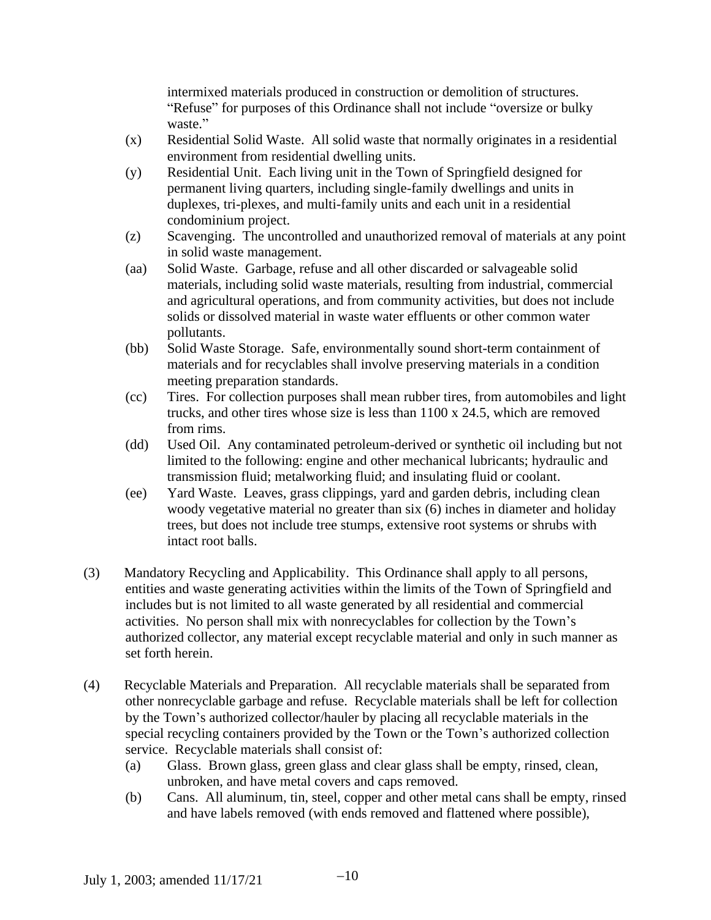intermixed materials produced in construction or demolition of structures. "Refuse" for purposes of this Ordinance shall not include "oversize or bulky waste."

- (x) Residential Solid Waste. All solid waste that normally originates in a residential environment from residential dwelling units.
- (y) Residential Unit. Each living unit in the Town of Springfield designed for permanent living quarters, including single-family dwellings and units in duplexes, tri-plexes, and multi-family units and each unit in a residential condominium project.
- (z) Scavenging. The uncontrolled and unauthorized removal of materials at any point in solid waste management.
- (aa) Solid Waste. Garbage, refuse and all other discarded or salvageable solid materials, including solid waste materials, resulting from industrial, commercial and agricultural operations, and from community activities, but does not include solids or dissolved material in waste water effluents or other common water pollutants.
- (bb) Solid Waste Storage. Safe, environmentally sound short-term containment of materials and for recyclables shall involve preserving materials in a condition meeting preparation standards.
- (cc) Tires. For collection purposes shall mean rubber tires, from automobiles and light trucks, and other tires whose size is less than 1100 x 24.5, which are removed from rims.
- (dd) Used Oil. Any contaminated petroleum-derived or synthetic oil including but not limited to the following: engine and other mechanical lubricants; hydraulic and transmission fluid; metalworking fluid; and insulating fluid or coolant.
- (ee) Yard Waste. Leaves, grass clippings, yard and garden debris, including clean woody vegetative material no greater than six (6) inches in diameter and holiday trees, but does not include tree stumps, extensive root systems or shrubs with intact root balls.
- (3) Mandatory Recycling and Applicability. This Ordinance shall apply to all persons, entities and waste generating activities within the limits of the Town of Springfield and includes but is not limited to all waste generated by all residential and commercial activities. No person shall mix with nonrecyclables for collection by the Town's authorized collector, any material except recyclable material and only in such manner as set forth herein.
- (4) Recyclable Materials and Preparation. All recyclable materials shall be separated from other nonrecyclable garbage and refuse. Recyclable materials shall be left for collection by the Town's authorized collector/hauler by placing all recyclable materials in the special recycling containers provided by the Town or the Town's authorized collection service. Recyclable materials shall consist of:
	- (a) Glass. Brown glass, green glass and clear glass shall be empty, rinsed, clean, unbroken, and have metal covers and caps removed.
	- (b) Cans. All aluminum, tin, steel, copper and other metal cans shall be empty, rinsed and have labels removed (with ends removed and flattened where possible),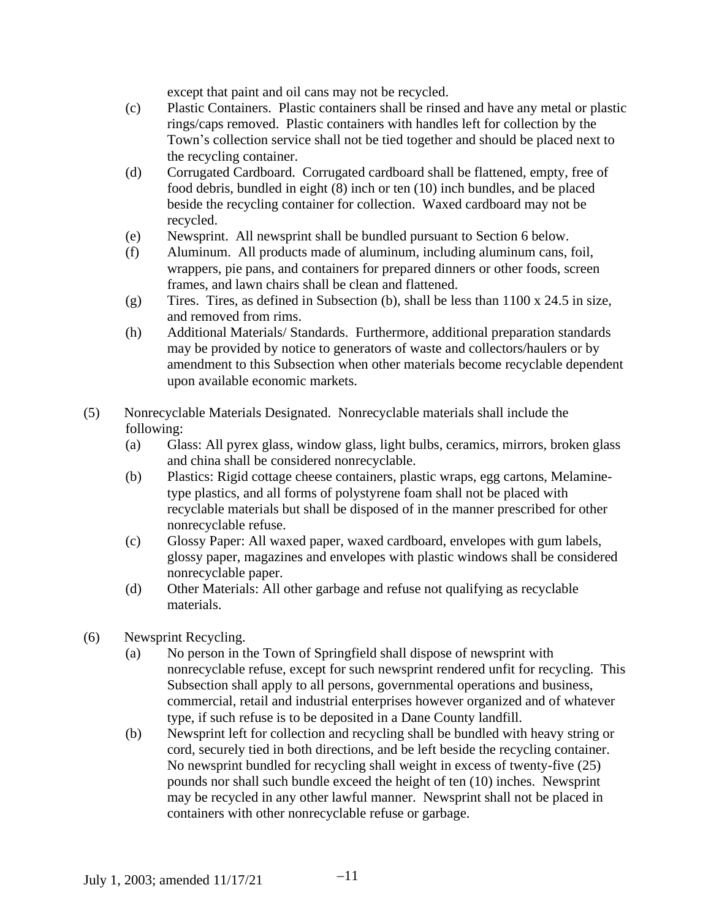except that paint and oil cans may not be recycled.

- (c) Plastic Containers. Plastic containers shall be rinsed and have any metal or plastic rings/caps removed. Plastic containers with handles left for collection by the Town's collection service shall not be tied together and should be placed next to the recycling container.
- (d) Corrugated Cardboard. Corrugated cardboard shall be flattened, empty, free of food debris, bundled in eight (8) inch or ten (10) inch bundles, and be placed beside the recycling container for collection. Waxed cardboard may not be recycled.
- (e) Newsprint. All newsprint shall be bundled pursuant to Section 6 below.
- (f) Aluminum. All products made of aluminum, including aluminum cans, foil, wrappers, pie pans, and containers for prepared dinners or other foods, screen frames, and lawn chairs shall be clean and flattened.
- (g) Tires. Tires, as defined in Subsection (b), shall be less than 1100 x 24.5 in size, and removed from rims.
- (h) Additional Materials/ Standards. Furthermore, additional preparation standards may be provided by notice to generators of waste and collectors/haulers or by amendment to this Subsection when other materials become recyclable dependent upon available economic markets.
- (5) Nonrecyclable Materials Designated. Nonrecyclable materials shall include the following:
	- (a) Glass: All pyrex glass, window glass, light bulbs, ceramics, mirrors, broken glass and china shall be considered nonrecyclable.
	- (b) Plastics: Rigid cottage cheese containers, plastic wraps, egg cartons, Melaminetype plastics, and all forms of polystyrene foam shall not be placed with recyclable materials but shall be disposed of in the manner prescribed for other nonrecyclable refuse.
	- (c) Glossy Paper: All waxed paper, waxed cardboard, envelopes with gum labels, glossy paper, magazines and envelopes with plastic windows shall be considered nonrecyclable paper.
	- (d) Other Materials: All other garbage and refuse not qualifying as recyclable materials.
- (6) Newsprint Recycling.
	- (a) No person in the Town of Springfield shall dispose of newsprint with nonrecyclable refuse, except for such newsprint rendered unfit for recycling. This Subsection shall apply to all persons, governmental operations and business, commercial, retail and industrial enterprises however organized and of whatever type, if such refuse is to be deposited in a Dane County landfill.
	- (b) Newsprint left for collection and recycling shall be bundled with heavy string or cord, securely tied in both directions, and be left beside the recycling container. No newsprint bundled for recycling shall weight in excess of twenty-five (25) pounds nor shall such bundle exceed the height of ten (10) inches. Newsprint may be recycled in any other lawful manner. Newsprint shall not be placed in containers with other nonrecyclable refuse or garbage.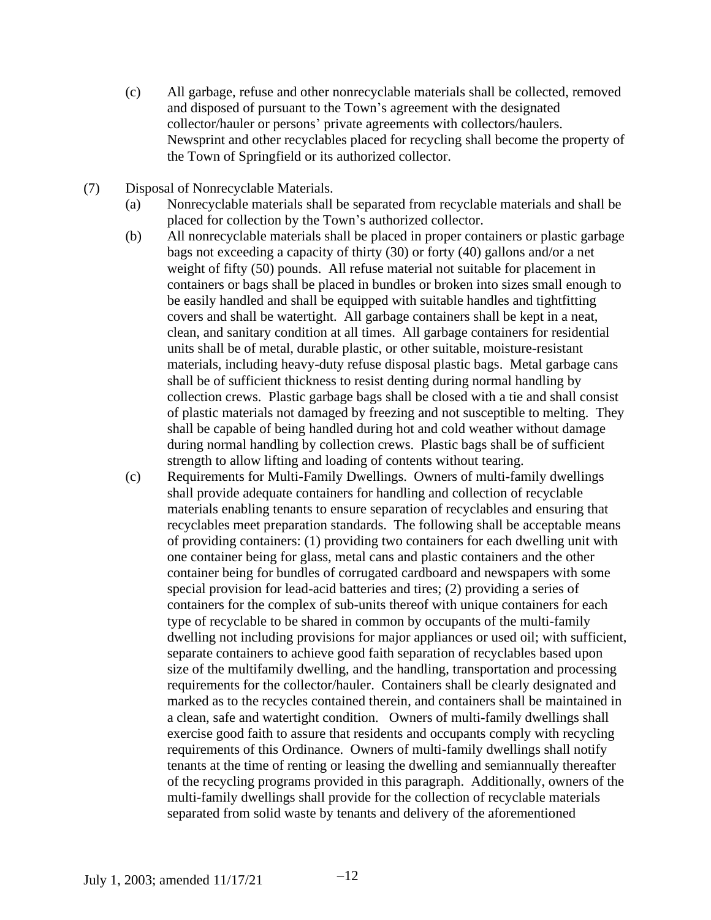- (c) All garbage, refuse and other nonrecyclable materials shall be collected, removed and disposed of pursuant to the Town's agreement with the designated collector/hauler or persons' private agreements with collectors/haulers. Newsprint and other recyclables placed for recycling shall become the property of the Town of Springfield or its authorized collector.
- (7) Disposal of Nonrecyclable Materials.
	- (a) Nonrecyclable materials shall be separated from recyclable materials and shall be placed for collection by the Town's authorized collector.
	- (b) All nonrecyclable materials shall be placed in proper containers or plastic garbage bags not exceeding a capacity of thirty (30) or forty (40) gallons and/or a net weight of fifty (50) pounds. All refuse material not suitable for placement in containers or bags shall be placed in bundles or broken into sizes small enough to be easily handled and shall be equipped with suitable handles and tightfitting covers and shall be watertight. All garbage containers shall be kept in a neat, clean, and sanitary condition at all times. All garbage containers for residential units shall be of metal, durable plastic, or other suitable, moisture-resistant materials, including heavy-duty refuse disposal plastic bags. Metal garbage cans shall be of sufficient thickness to resist denting during normal handling by collection crews. Plastic garbage bags shall be closed with a tie and shall consist of plastic materials not damaged by freezing and not susceptible to melting. They shall be capable of being handled during hot and cold weather without damage during normal handling by collection crews. Plastic bags shall be of sufficient strength to allow lifting and loading of contents without tearing.
	- (c) Requirements for Multi-Family Dwellings. Owners of multi-family dwellings shall provide adequate containers for handling and collection of recyclable materials enabling tenants to ensure separation of recyclables and ensuring that recyclables meet preparation standards. The following shall be acceptable means of providing containers: (1) providing two containers for each dwelling unit with one container being for glass, metal cans and plastic containers and the other container being for bundles of corrugated cardboard and newspapers with some special provision for lead-acid batteries and tires; (2) providing a series of containers for the complex of sub-units thereof with unique containers for each type of recyclable to be shared in common by occupants of the multi-family dwelling not including provisions for major appliances or used oil; with sufficient, separate containers to achieve good faith separation of recyclables based upon size of the multifamily dwelling, and the handling, transportation and processing requirements for the collector/hauler. Containers shall be clearly designated and marked as to the recycles contained therein, and containers shall be maintained in a clean, safe and watertight condition. Owners of multi-family dwellings shall exercise good faith to assure that residents and occupants comply with recycling requirements of this Ordinance. Owners of multi-family dwellings shall notify tenants at the time of renting or leasing the dwelling and semiannually thereafter of the recycling programs provided in this paragraph. Additionally, owners of the multi-family dwellings shall provide for the collection of recyclable materials separated from solid waste by tenants and delivery of the aforementioned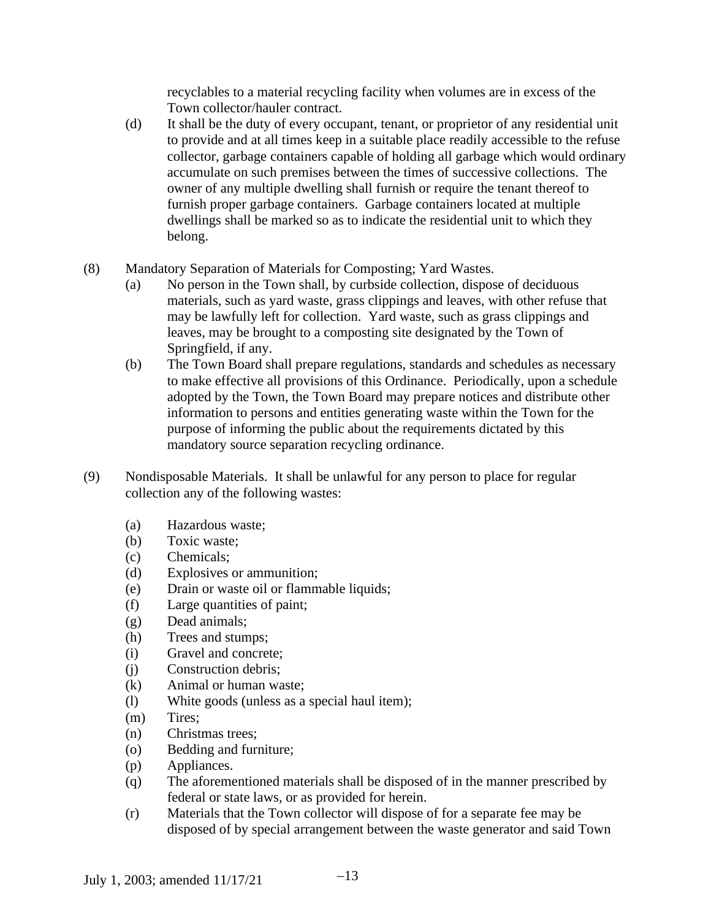recyclables to a material recycling facility when volumes are in excess of the Town collector/hauler contract.

- (d) It shall be the duty of every occupant, tenant, or proprietor of any residential unit to provide and at all times keep in a suitable place readily accessible to the refuse collector, garbage containers capable of holding all garbage which would ordinary accumulate on such premises between the times of successive collections. The owner of any multiple dwelling shall furnish or require the tenant thereof to furnish proper garbage containers. Garbage containers located at multiple dwellings shall be marked so as to indicate the residential unit to which they belong.
- (8) Mandatory Separation of Materials for Composting; Yard Wastes.
	- (a) No person in the Town shall, by curbside collection, dispose of deciduous materials, such as yard waste, grass clippings and leaves, with other refuse that may be lawfully left for collection. Yard waste, such as grass clippings and leaves, may be brought to a composting site designated by the Town of Springfield, if any.
	- (b) The Town Board shall prepare regulations, standards and schedules as necessary to make effective all provisions of this Ordinance. Periodically, upon a schedule adopted by the Town, the Town Board may prepare notices and distribute other information to persons and entities generating waste within the Town for the purpose of informing the public about the requirements dictated by this mandatory source separation recycling ordinance.
- (9) Nondisposable Materials. It shall be unlawful for any person to place for regular collection any of the following wastes:
	- (a) Hazardous waste;
	- (b) Toxic waste;
	- (c) Chemicals;
	- (d) Explosives or ammunition;
	- (e) Drain or waste oil or flammable liquids;
	- (f) Large quantities of paint;
	- (g) Dead animals;
	- (h) Trees and stumps;
	- (i) Gravel and concrete;
	- (j) Construction debris;
	- (k) Animal or human waste;
	- (l) White goods (unless as a special haul item);
	- (m) Tires;
	- (n) Christmas trees;
	- (o) Bedding and furniture;
	- (p) Appliances.
	- (q) The aforementioned materials shall be disposed of in the manner prescribed by federal or state laws, or as provided for herein.
	- (r) Materials that the Town collector will dispose of for a separate fee may be disposed of by special arrangement between the waste generator and said Town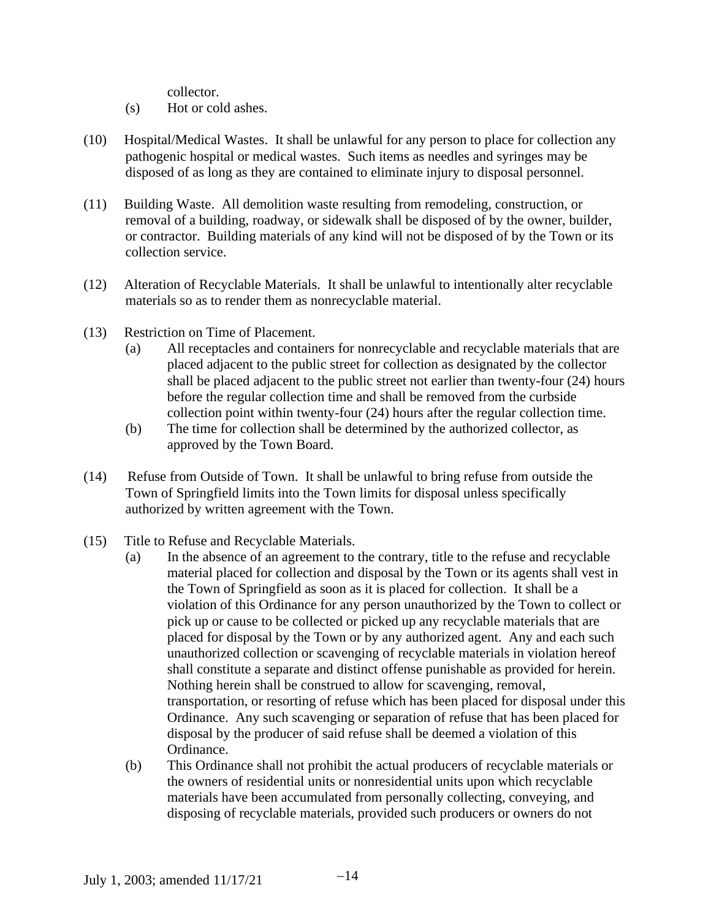collector.

- (s) Hot or cold ashes.
- (10) Hospital/Medical Wastes. It shall be unlawful for any person to place for collection any pathogenic hospital or medical wastes. Such items as needles and syringes may be disposed of as long as they are contained to eliminate injury to disposal personnel.
- (11) Building Waste. All demolition waste resulting from remodeling, construction, or removal of a building, roadway, or sidewalk shall be disposed of by the owner, builder, or contractor. Building materials of any kind will not be disposed of by the Town or its collection service.
- (12) Alteration of Recyclable Materials. It shall be unlawful to intentionally alter recyclable materials so as to render them as nonrecyclable material.
- (13) Restriction on Time of Placement.
	- (a) All receptacles and containers for nonrecyclable and recyclable materials that are placed adjacent to the public street for collection as designated by the collector shall be placed adjacent to the public street not earlier than twenty-four (24) hours before the regular collection time and shall be removed from the curbside collection point within twenty-four (24) hours after the regular collection time.
	- (b) The time for collection shall be determined by the authorized collector, as approved by the Town Board.
- (14) Refuse from Outside of Town. It shall be unlawful to bring refuse from outside the Town of Springfield limits into the Town limits for disposal unless specifically authorized by written agreement with the Town.
- (15) Title to Refuse and Recyclable Materials.
	- (a) In the absence of an agreement to the contrary, title to the refuse and recyclable material placed for collection and disposal by the Town or its agents shall vest in the Town of Springfield as soon as it is placed for collection. It shall be a violation of this Ordinance for any person unauthorized by the Town to collect or pick up or cause to be collected or picked up any recyclable materials that are placed for disposal by the Town or by any authorized agent. Any and each such unauthorized collection or scavenging of recyclable materials in violation hereof shall constitute a separate and distinct offense punishable as provided for herein. Nothing herein shall be construed to allow for scavenging, removal, transportation, or resorting of refuse which has been placed for disposal under this Ordinance. Any such scavenging or separation of refuse that has been placed for disposal by the producer of said refuse shall be deemed a violation of this Ordinance.
	- (b) This Ordinance shall not prohibit the actual producers of recyclable materials or the owners of residential units or nonresidential units upon which recyclable materials have been accumulated from personally collecting, conveying, and disposing of recyclable materials, provided such producers or owners do not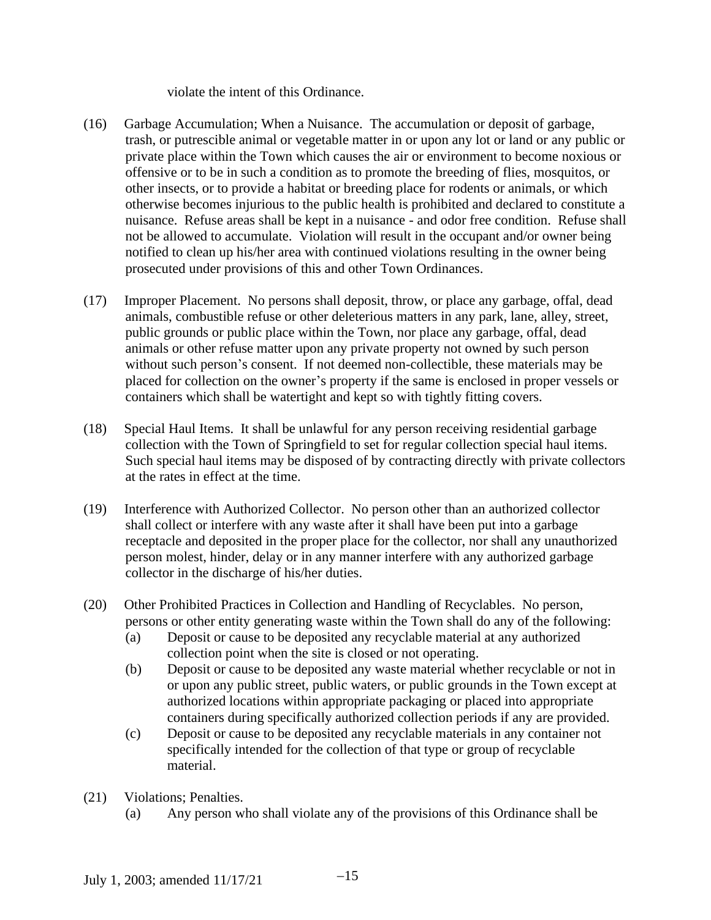violate the intent of this Ordinance.

- (16) Garbage Accumulation; When a Nuisance. The accumulation or deposit of garbage, trash, or putrescible animal or vegetable matter in or upon any lot or land or any public or private place within the Town which causes the air or environment to become noxious or offensive or to be in such a condition as to promote the breeding of flies, mosquitos, or other insects, or to provide a habitat or breeding place for rodents or animals, or which otherwise becomes injurious to the public health is prohibited and declared to constitute a nuisance. Refuse areas shall be kept in a nuisance - and odor free condition. Refuse shall not be allowed to accumulate. Violation will result in the occupant and/or owner being notified to clean up his/her area with continued violations resulting in the owner being prosecuted under provisions of this and other Town Ordinances.
- (17) Improper Placement. No persons shall deposit, throw, or place any garbage, offal, dead animals, combustible refuse or other deleterious matters in any park, lane, alley, street, public grounds or public place within the Town, nor place any garbage, offal, dead animals or other refuse matter upon any private property not owned by such person without such person's consent. If not deemed non-collectible, these materials may be placed for collection on the owner's property if the same is enclosed in proper vessels or containers which shall be watertight and kept so with tightly fitting covers.
- (18) Special Haul Items. It shall be unlawful for any person receiving residential garbage collection with the Town of Springfield to set for regular collection special haul items. Such special haul items may be disposed of by contracting directly with private collectors at the rates in effect at the time.
- (19) Interference with Authorized Collector. No person other than an authorized collector shall collect or interfere with any waste after it shall have been put into a garbage receptacle and deposited in the proper place for the collector, nor shall any unauthorized person molest, hinder, delay or in any manner interfere with any authorized garbage collector in the discharge of his/her duties.
- (20) Other Prohibited Practices in Collection and Handling of Recyclables. No person, persons or other entity generating waste within the Town shall do any of the following:
	- (a) Deposit or cause to be deposited any recyclable material at any authorized collection point when the site is closed or not operating.
	- (b) Deposit or cause to be deposited any waste material whether recyclable or not in or upon any public street, public waters, or public grounds in the Town except at authorized locations within appropriate packaging or placed into appropriate containers during specifically authorized collection periods if any are provided.
	- (c) Deposit or cause to be deposited any recyclable materials in any container not specifically intended for the collection of that type or group of recyclable material.
- (21) Violations; Penalties.
	- (a) Any person who shall violate any of the provisions of this Ordinance shall be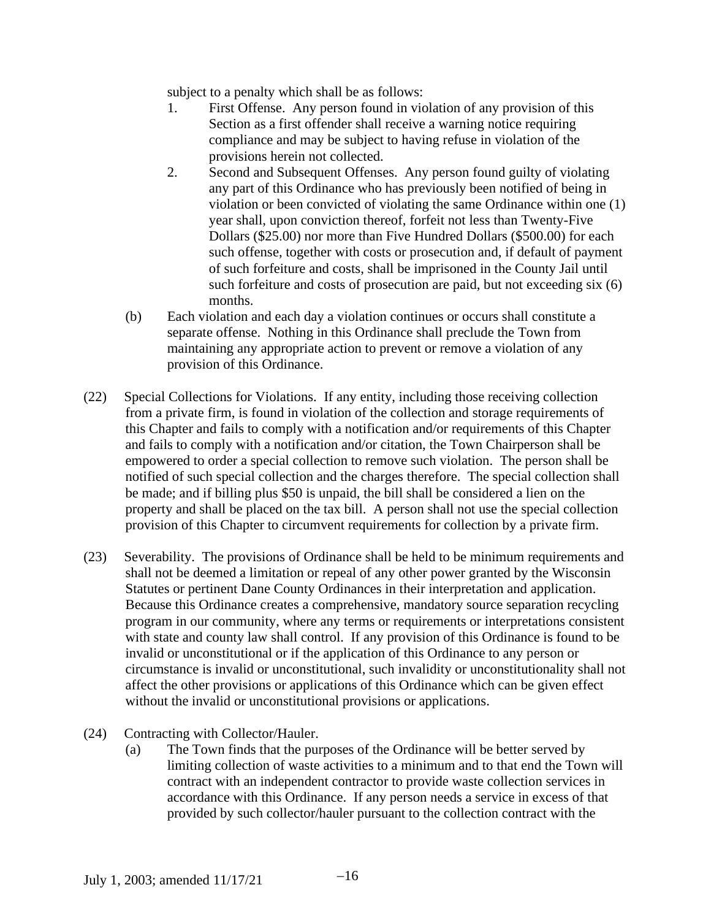subject to a penalty which shall be as follows:

- 1. First Offense. Any person found in violation of any provision of this Section as a first offender shall receive a warning notice requiring compliance and may be subject to having refuse in violation of the provisions herein not collected.
- 2. Second and Subsequent Offenses. Any person found guilty of violating any part of this Ordinance who has previously been notified of being in violation or been convicted of violating the same Ordinance within one (1) year shall, upon conviction thereof, forfeit not less than Twenty-Five Dollars (\$25.00) nor more than Five Hundred Dollars (\$500.00) for each such offense, together with costs or prosecution and, if default of payment of such forfeiture and costs, shall be imprisoned in the County Jail until such forfeiture and costs of prosecution are paid, but not exceeding six (6) months.
- (b) Each violation and each day a violation continues or occurs shall constitute a separate offense. Nothing in this Ordinance shall preclude the Town from maintaining any appropriate action to prevent or remove a violation of any provision of this Ordinance.
- (22) Special Collections for Violations. If any entity, including those receiving collection from a private firm, is found in violation of the collection and storage requirements of this Chapter and fails to comply with a notification and/or requirements of this Chapter and fails to comply with a notification and/or citation, the Town Chairperson shall be empowered to order a special collection to remove such violation. The person shall be notified of such special collection and the charges therefore. The special collection shall be made; and if billing plus \$50 is unpaid, the bill shall be considered a lien on the property and shall be placed on the tax bill. A person shall not use the special collection provision of this Chapter to circumvent requirements for collection by a private firm.
- (23) Severability. The provisions of Ordinance shall be held to be minimum requirements and shall not be deemed a limitation or repeal of any other power granted by the Wisconsin Statutes or pertinent Dane County Ordinances in their interpretation and application. Because this Ordinance creates a comprehensive, mandatory source separation recycling program in our community, where any terms or requirements or interpretations consistent with state and county law shall control. If any provision of this Ordinance is found to be invalid or unconstitutional or if the application of this Ordinance to any person or circumstance is invalid or unconstitutional, such invalidity or unconstitutionality shall not affect the other provisions or applications of this Ordinance which can be given effect without the invalid or unconstitutional provisions or applications.
- (24) Contracting with Collector/Hauler.
	- (a) The Town finds that the purposes of the Ordinance will be better served by limiting collection of waste activities to a minimum and to that end the Town will contract with an independent contractor to provide waste collection services in accordance with this Ordinance. If any person needs a service in excess of that provided by such collector/hauler pursuant to the collection contract with the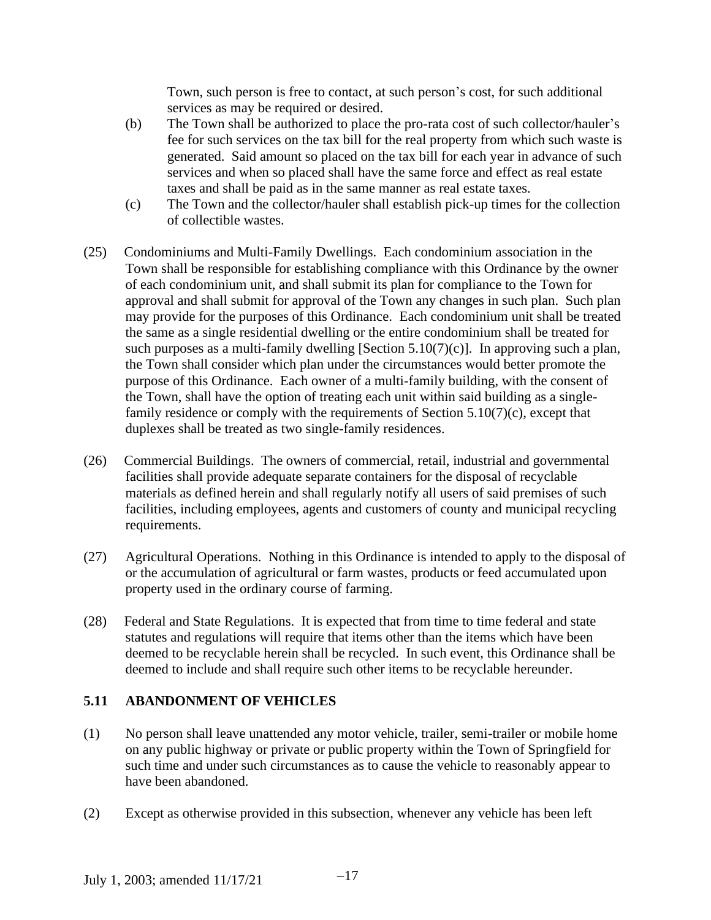Town, such person is free to contact, at such person's cost, for such additional services as may be required or desired.

- (b) The Town shall be authorized to place the pro-rata cost of such collector/hauler's fee for such services on the tax bill for the real property from which such waste is generated. Said amount so placed on the tax bill for each year in advance of such services and when so placed shall have the same force and effect as real estate taxes and shall be paid as in the same manner as real estate taxes.
- (c) The Town and the collector/hauler shall establish pick-up times for the collection of collectible wastes.
- (25) Condominiums and Multi-Family Dwellings. Each condominium association in the Town shall be responsible for establishing compliance with this Ordinance by the owner of each condominium unit, and shall submit its plan for compliance to the Town for approval and shall submit for approval of the Town any changes in such plan. Such plan may provide for the purposes of this Ordinance. Each condominium unit shall be treated the same as a single residential dwelling or the entire condominium shall be treated for such purposes as a multi-family dwelling [Section  $5.10(7)(c)$ ]. In approving such a plan, the Town shall consider which plan under the circumstances would better promote the purpose of this Ordinance. Each owner of a multi-family building, with the consent of the Town, shall have the option of treating each unit within said building as a singlefamily residence or comply with the requirements of Section  $5.10(7)(c)$ , except that duplexes shall be treated as two single-family residences.
- (26) Commercial Buildings. The owners of commercial, retail, industrial and governmental facilities shall provide adequate separate containers for the disposal of recyclable materials as defined herein and shall regularly notify all users of said premises of such facilities, including employees, agents and customers of county and municipal recycling requirements.
- (27) Agricultural Operations. Nothing in this Ordinance is intended to apply to the disposal of or the accumulation of agricultural or farm wastes, products or feed accumulated upon property used in the ordinary course of farming.
- (28) Federal and State Regulations. It is expected that from time to time federal and state statutes and regulations will require that items other than the items which have been deemed to be recyclable herein shall be recycled. In such event, this Ordinance shall be deemed to include and shall require such other items to be recyclable hereunder.

## **5.11 ABANDONMENT OF VEHICLES**

- (1) No person shall leave unattended any motor vehicle, trailer, semi-trailer or mobile home on any public highway or private or public property within the Town of Springfield for such time and under such circumstances as to cause the vehicle to reasonably appear to have been abandoned.
- (2) Except as otherwise provided in this subsection, whenever any vehicle has been left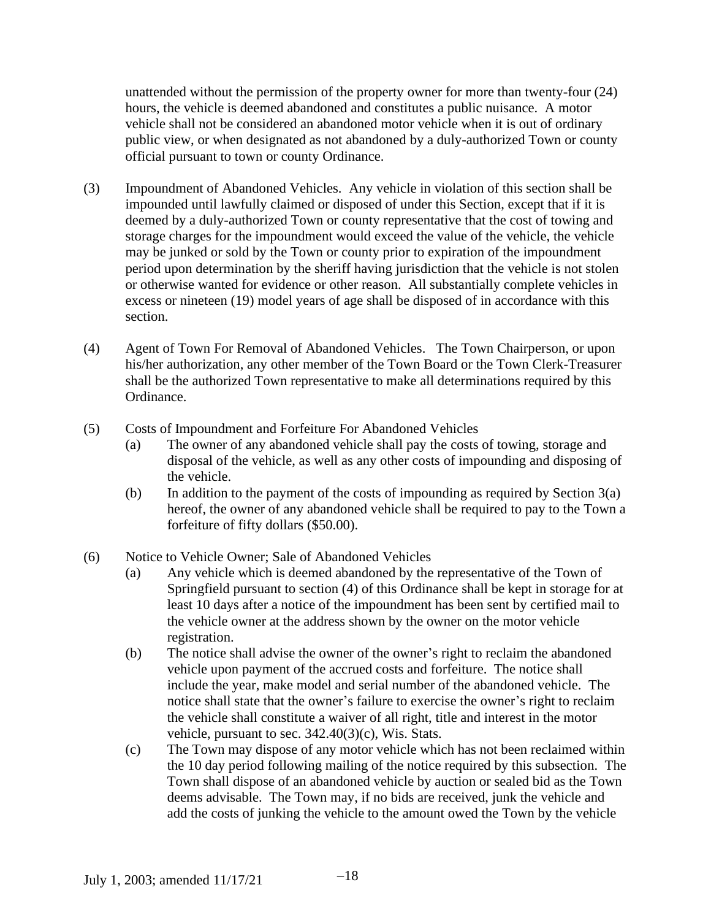unattended without the permission of the property owner for more than twenty-four (24) hours, the vehicle is deemed abandoned and constitutes a public nuisance. A motor vehicle shall not be considered an abandoned motor vehicle when it is out of ordinary public view, or when designated as not abandoned by a duly-authorized Town or county official pursuant to town or county Ordinance.

- (3) Impoundment of Abandoned Vehicles. Any vehicle in violation of this section shall be impounded until lawfully claimed or disposed of under this Section, except that if it is deemed by a duly-authorized Town or county representative that the cost of towing and storage charges for the impoundment would exceed the value of the vehicle, the vehicle may be junked or sold by the Town or county prior to expiration of the impoundment period upon determination by the sheriff having jurisdiction that the vehicle is not stolen or otherwise wanted for evidence or other reason. All substantially complete vehicles in excess or nineteen (19) model years of age shall be disposed of in accordance with this section.
- (4) Agent of Town For Removal of Abandoned Vehicles. The Town Chairperson, or upon his/her authorization, any other member of the Town Board or the Town Clerk-Treasurer shall be the authorized Town representative to make all determinations required by this Ordinance.
- (5) Costs of Impoundment and Forfeiture For Abandoned Vehicles
	- (a) The owner of any abandoned vehicle shall pay the costs of towing, storage and disposal of the vehicle, as well as any other costs of impounding and disposing of the vehicle.
	- (b) In addition to the payment of the costs of impounding as required by Section  $3(a)$ hereof, the owner of any abandoned vehicle shall be required to pay to the Town a forfeiture of fifty dollars (\$50.00).
- (6) Notice to Vehicle Owner; Sale of Abandoned Vehicles
	- (a) Any vehicle which is deemed abandoned by the representative of the Town of Springfield pursuant to section (4) of this Ordinance shall be kept in storage for at least 10 days after a notice of the impoundment has been sent by certified mail to the vehicle owner at the address shown by the owner on the motor vehicle registration.
	- (b) The notice shall advise the owner of the owner's right to reclaim the abandoned vehicle upon payment of the accrued costs and forfeiture. The notice shall include the year, make model and serial number of the abandoned vehicle. The notice shall state that the owner's failure to exercise the owner's right to reclaim the vehicle shall constitute a waiver of all right, title and interest in the motor vehicle, pursuant to sec. 342.40(3)(c), Wis. Stats.
	- (c) The Town may dispose of any motor vehicle which has not been reclaimed within the 10 day period following mailing of the notice required by this subsection. The Town shall dispose of an abandoned vehicle by auction or sealed bid as the Town deems advisable. The Town may, if no bids are received, junk the vehicle and add the costs of junking the vehicle to the amount owed the Town by the vehicle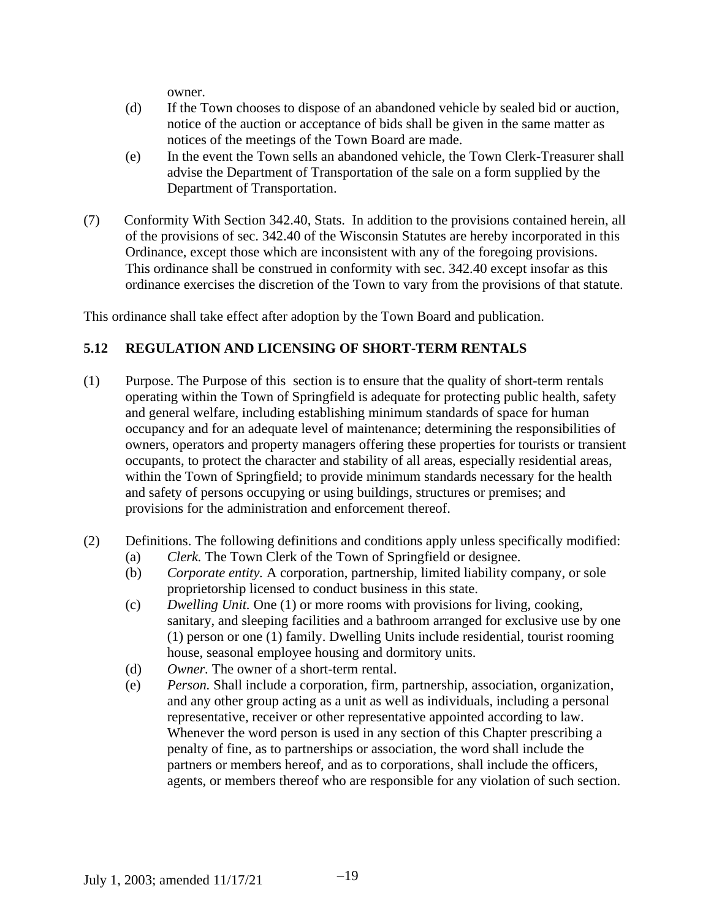owner.

- (d) If the Town chooses to dispose of an abandoned vehicle by sealed bid or auction, notice of the auction or acceptance of bids shall be given in the same matter as notices of the meetings of the Town Board are made.
- (e) In the event the Town sells an abandoned vehicle, the Town Clerk-Treasurer shall advise the Department of Transportation of the sale on a form supplied by the Department of Transportation.
- (7) Conformity With Section 342.40, Stats. In addition to the provisions contained herein, all of the provisions of sec. 342.40 of the Wisconsin Statutes are hereby incorporated in this Ordinance, except those which are inconsistent with any of the foregoing provisions. This ordinance shall be construed in conformity with sec. 342.40 except insofar as this ordinance exercises the discretion of the Town to vary from the provisions of that statute.

This ordinance shall take effect after adoption by the Town Board and publication.

# **5.12 REGULATION AND LICENSING OF SHORT-TERM RENTALS**

- (1) Purpose. The Purpose of this section is to ensure that the quality of short-term rentals operating within the Town of Springfield is adequate for protecting public health, safety and general welfare, including establishing minimum standards of space for human occupancy and for an adequate level of maintenance; determining the responsibilities of owners, operators and property managers offering these properties for tourists or transient occupants, to protect the character and stability of all areas, especially residential areas, within the Town of Springfield; to provide minimum standards necessary for the health and safety of persons occupying or using buildings, structures or premises; and provisions for the administration and enforcement thereof.
- (2) Definitions. The following definitions and conditions apply unless specifically modified:
	- (a) *Clerk.* The Town Clerk of the Town of Springfield or designee.
	- (b) *Corporate entity.* A corporation, partnership, limited liability company, or sole proprietorship licensed to conduct business in this state.
	- (c) *Dwelling Unit.* One (1) or more rooms with provisions for living, cooking, sanitary, and sleeping facilities and a bathroom arranged for exclusive use by one (1) person or one (1) family. Dwelling Units include residential, tourist rooming house, seasonal employee housing and dormitory units.
	- (d) *Owner.* The owner of a short-term rental.
	- (e) *Person.* Shall include a corporation, firm, partnership, association, organization, and any other group acting as a unit as well as individuals, including a personal representative, receiver or other representative appointed according to law. Whenever the word person is used in any section of this Chapter prescribing a penalty of fine, as to partnerships or association, the word shall include the partners or members hereof, and as to corporations, shall include the officers, agents, or members thereof who are responsible for any violation of such section.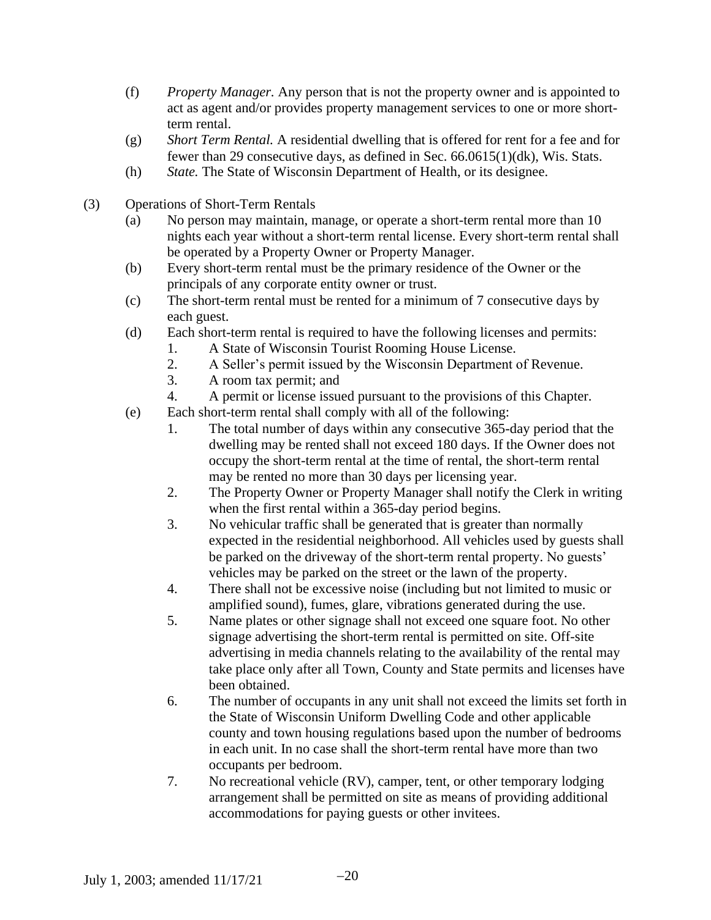- (f) *Property Manager.* Any person that is not the property owner and is appointed to act as agent and/or provides property management services to one or more shortterm rental.
- (g) *Short Term Rental.* A residential dwelling that is offered for rent for a fee and for fewer than 29 consecutive days, as defined in Sec. 66.0615(1)(dk), Wis. Stats.
- (h) *State.* The State of Wisconsin Department of Health, or its designee.
- (3) Operations of Short-Term Rentals
	- (a) No person may maintain, manage, or operate a short-term rental more than 10 nights each year without a short-term rental license. Every short-term rental shall be operated by a Property Owner or Property Manager.
	- (b) Every short-term rental must be the primary residence of the Owner or the principals of any corporate entity owner or trust.
	- (c) The short-term rental must be rented for a minimum of 7 consecutive days by each guest.
	- (d) Each short-term rental is required to have the following licenses and permits:
		- 1. A State of Wisconsin Tourist Rooming House License.
		- 2. A Seller's permit issued by the Wisconsin Department of Revenue.
		- 3. A room tax permit; and
		- 4. A permit or license issued pursuant to the provisions of this Chapter.
	- (e) Each short-term rental shall comply with all of the following:
		- 1. The total number of days within any consecutive 365-day period that the dwelling may be rented shall not exceed 180 days. If the Owner does not occupy the short-term rental at the time of rental, the short-term rental may be rented no more than 30 days per licensing year.
		- 2. The Property Owner or Property Manager shall notify the Clerk in writing when the first rental within a 365-day period begins.
		- 3. No vehicular traffic shall be generated that is greater than normally expected in the residential neighborhood. All vehicles used by guests shall be parked on the driveway of the short-term rental property. No guests' vehicles may be parked on the street or the lawn of the property.
		- 4. There shall not be excessive noise (including but not limited to music or amplified sound), fumes, glare, vibrations generated during the use.
		- 5. Name plates or other signage shall not exceed one square foot. No other signage advertising the short-term rental is permitted on site. Off-site advertising in media channels relating to the availability of the rental may take place only after all Town, County and State permits and licenses have been obtained.
		- 6. The number of occupants in any unit shall not exceed the limits set forth in the State of Wisconsin Uniform Dwelling Code and other applicable county and town housing regulations based upon the number of bedrooms in each unit. In no case shall the short-term rental have more than two occupants per bedroom.
		- 7. No recreational vehicle (RV), camper, tent, or other temporary lodging arrangement shall be permitted on site as means of providing additional accommodations for paying guests or other invitees.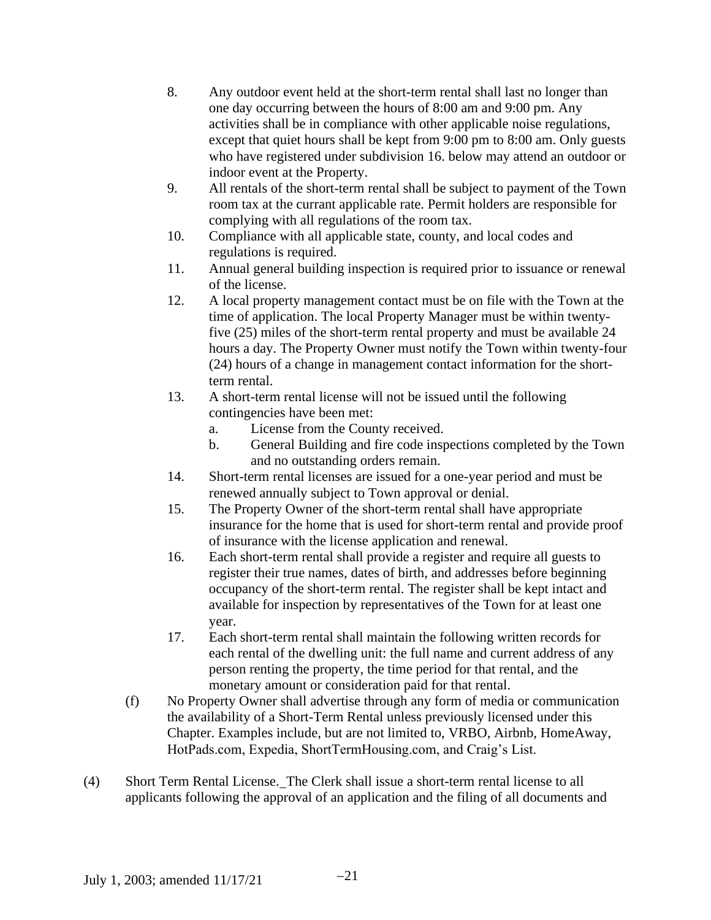- 8. Any outdoor event held at the short-term rental shall last no longer than one day occurring between the hours of 8:00 am and 9:00 pm. Any activities shall be in compliance with other applicable noise regulations, except that quiet hours shall be kept from 9:00 pm to 8:00 am. Only guests who have registered under subdivision 16. below may attend an outdoor or indoor event at the Property.
- 9. All rentals of the short-term rental shall be subject to payment of the Town room tax at the currant applicable rate. Permit holders are responsible for complying with all regulations of the room tax.
- 10. Compliance with all applicable state, county, and local codes and regulations is required.
- 11. Annual general building inspection is required prior to issuance or renewal of the license.
- 12. A local property management contact must be on file with the Town at the time of application. The local Property Manager must be within twentyfive (25) miles of the short-term rental property and must be available 24 hours a day. The Property Owner must notify the Town within twenty-four (24) hours of a change in management contact information for the shortterm rental.
- 13. A short-term rental license will not be issued until the following contingencies have been met:
	- a. License from the County received.
	- b. General Building and fire code inspections completed by the Town and no outstanding orders remain.
- 14. Short-term rental licenses are issued for a one-year period and must be renewed annually subject to Town approval or denial.
- 15. The Property Owner of the short-term rental shall have appropriate insurance for the home that is used for short-term rental and provide proof of insurance with the license application and renewal.
- 16. Each short-term rental shall provide a register and require all guests to register their true names, dates of birth, and addresses before beginning occupancy of the short-term rental. The register shall be kept intact and available for inspection by representatives of the Town for at least one year.
- 17. Each short-term rental shall maintain the following written records for each rental of the dwelling unit: the full name and current address of any person renting the property, the time period for that rental, and the monetary amount or consideration paid for that rental.
- (f) No Property Owner shall advertise through any form of media or communication the availability of a Short-Term Rental unless previously licensed under this Chapter. Examples include, but are not limited to, VRBO, Airbnb, HomeAway, HotPads.com, Expedia, ShortTermHousing.com, and Craig's List.
- (4) Short Term Rental License. The Clerk shall issue a short-term rental license to all applicants following the approval of an application and the filing of all documents and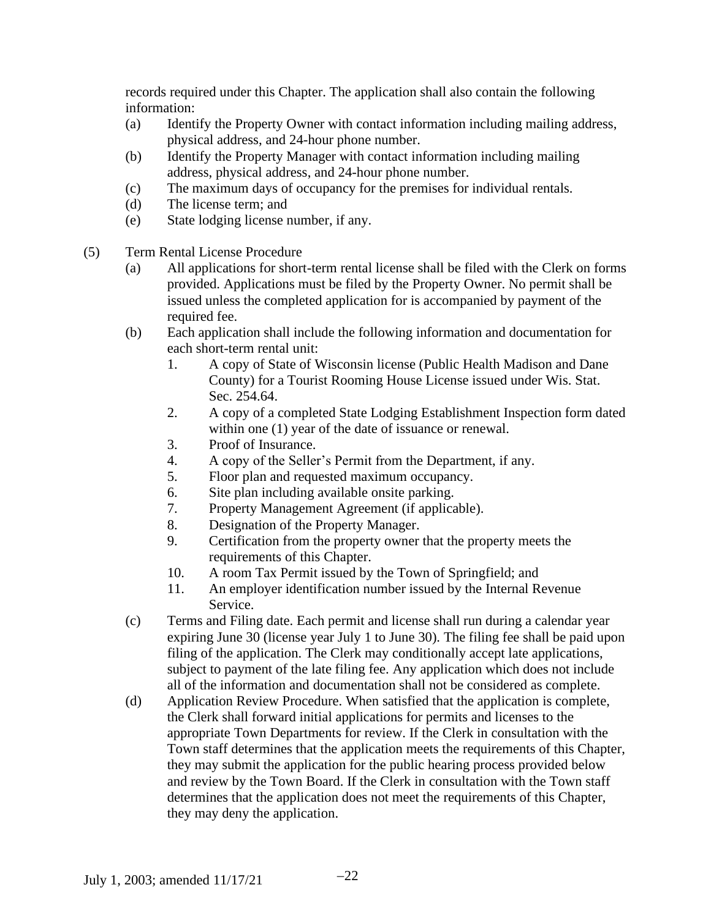records required under this Chapter. The application shall also contain the following information:

- (a) Identify the Property Owner with contact information including mailing address, physical address, and 24-hour phone number.
- (b) Identify the Property Manager with contact information including mailing address, physical address, and 24-hour phone number.
- (c) The maximum days of occupancy for the premises for individual rentals.
- (d) The license term; and
- (e) State lodging license number, if any.
- (5) Term Rental License Procedure
	- (a) All applications for short-term rental license shall be filed with the Clerk on forms provided. Applications must be filed by the Property Owner. No permit shall be issued unless the completed application for is accompanied by payment of the required fee.
	- (b) Each application shall include the following information and documentation for each short-term rental unit:
		- 1. A copy of State of Wisconsin license (Public Health Madison and Dane County) for a Tourist Rooming House License issued under Wis. Stat. Sec. 254.64.
		- 2. A copy of a completed State Lodging Establishment Inspection form dated within one (1) year of the date of issuance or renewal.
		- 3. Proof of Insurance.
		- 4. A copy of the Seller's Permit from the Department, if any.
		- 5. Floor plan and requested maximum occupancy.
		- 6. Site plan including available onsite parking.
		- 7. Property Management Agreement (if applicable).
		- 8. Designation of the Property Manager.
		- 9. Certification from the property owner that the property meets the requirements of this Chapter.
		- 10. A room Tax Permit issued by the Town of Springfield; and
		- 11. An employer identification number issued by the Internal Revenue Service.
	- (c) Terms and Filing date. Each permit and license shall run during a calendar year expiring June 30 (license year July 1 to June 30). The filing fee shall be paid upon filing of the application. The Clerk may conditionally accept late applications, subject to payment of the late filing fee. Any application which does not include all of the information and documentation shall not be considered as complete.
	- (d) Application Review Procedure. When satisfied that the application is complete, the Clerk shall forward initial applications for permits and licenses to the appropriate Town Departments for review. If the Clerk in consultation with the Town staff determines that the application meets the requirements of this Chapter, they may submit the application for the public hearing process provided below and review by the Town Board. If the Clerk in consultation with the Town staff determines that the application does not meet the requirements of this Chapter, they may deny the application.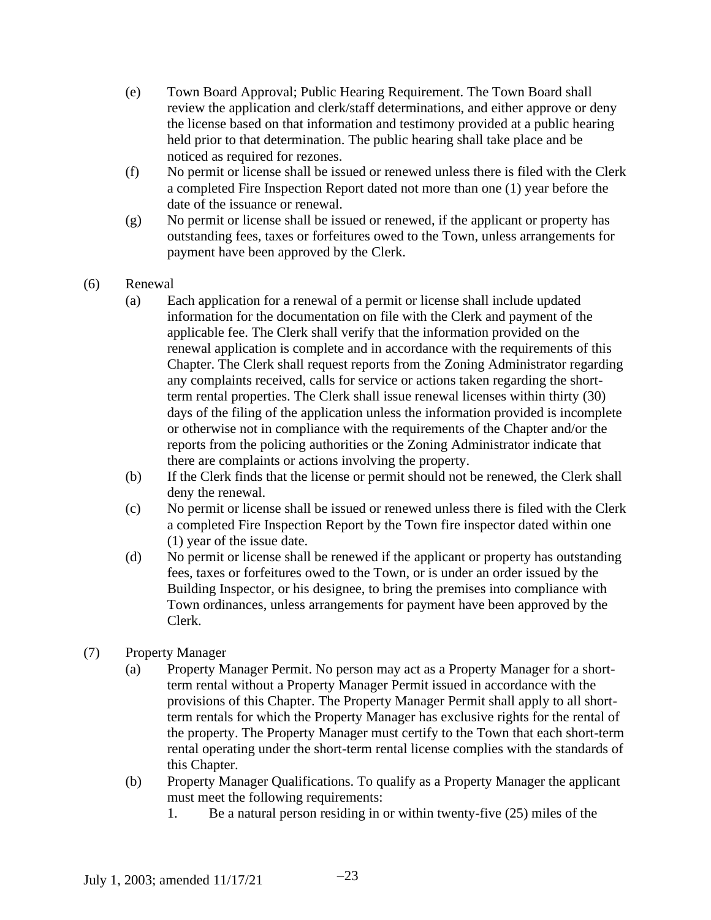- (e) Town Board Approval; Public Hearing Requirement. The Town Board shall review the application and clerk/staff determinations, and either approve or deny the license based on that information and testimony provided at a public hearing held prior to that determination. The public hearing shall take place and be noticed as required for rezones.
- (f) No permit or license shall be issued or renewed unless there is filed with the Clerk a completed Fire Inspection Report dated not more than one (1) year before the date of the issuance or renewal.
- (g) No permit or license shall be issued or renewed, if the applicant or property has outstanding fees, taxes or forfeitures owed to the Town, unless arrangements for payment have been approved by the Clerk.
- (6) Renewal
	- (a) Each application for a renewal of a permit or license shall include updated information for the documentation on file with the Clerk and payment of the applicable fee. The Clerk shall verify that the information provided on the renewal application is complete and in accordance with the requirements of this Chapter. The Clerk shall request reports from the Zoning Administrator regarding any complaints received, calls for service or actions taken regarding the shortterm rental properties. The Clerk shall issue renewal licenses within thirty (30) days of the filing of the application unless the information provided is incomplete or otherwise not in compliance with the requirements of the Chapter and/or the reports from the policing authorities or the Zoning Administrator indicate that there are complaints or actions involving the property.
	- (b) If the Clerk finds that the license or permit should not be renewed, the Clerk shall deny the renewal.
	- (c) No permit or license shall be issued or renewed unless there is filed with the Clerk a completed Fire Inspection Report by the Town fire inspector dated within one (1) year of the issue date.
	- (d) No permit or license shall be renewed if the applicant or property has outstanding fees, taxes or forfeitures owed to the Town, or is under an order issued by the Building Inspector, or his designee, to bring the premises into compliance with Town ordinances, unless arrangements for payment have been approved by the Clerk.
- (7) Property Manager
	- (a) Property Manager Permit. No person may act as a Property Manager for a shortterm rental without a Property Manager Permit issued in accordance with the provisions of this Chapter. The Property Manager Permit shall apply to all shortterm rentals for which the Property Manager has exclusive rights for the rental of the property. The Property Manager must certify to the Town that each short-term rental operating under the short-term rental license complies with the standards of this Chapter.
	- (b) Property Manager Qualifications. To qualify as a Property Manager the applicant must meet the following requirements:
		- 1. Be a natural person residing in or within twenty-five (25) miles of the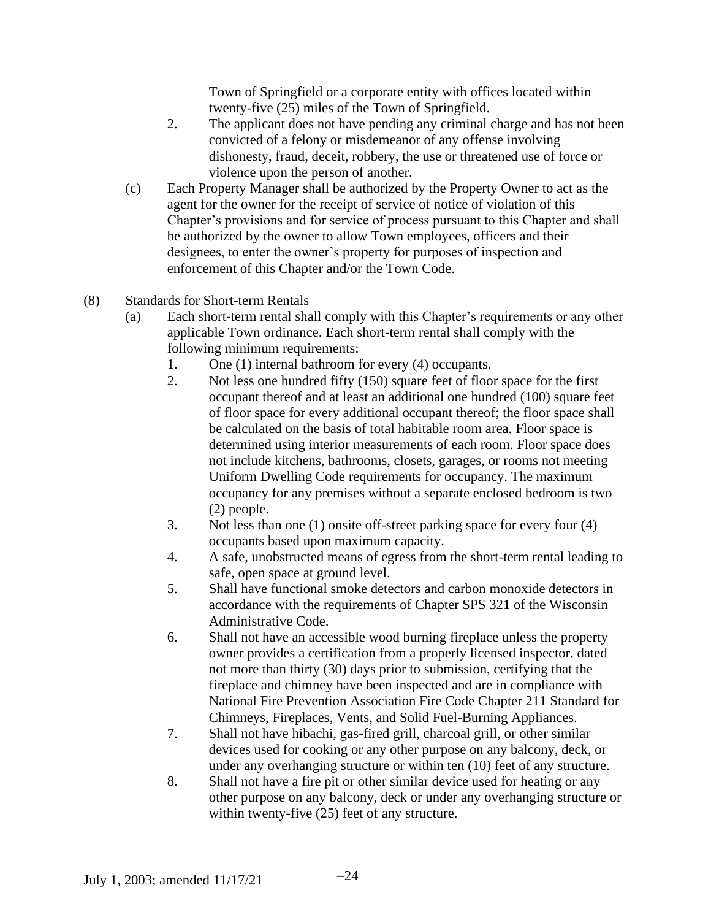Town of Springfield or a corporate entity with offices located within twenty-five (25) miles of the Town of Springfield.

- 2. The applicant does not have pending any criminal charge and has not been convicted of a felony or misdemeanor of any offense involving dishonesty, fraud, deceit, robbery, the use or threatened use of force or violence upon the person of another.
- (c) Each Property Manager shall be authorized by the Property Owner to act as the agent for the owner for the receipt of service of notice of violation of this Chapter's provisions and for service of process pursuant to this Chapter and shall be authorized by the owner to allow Town employees, officers and their designees, to enter the owner's property for purposes of inspection and enforcement of this Chapter and/or the Town Code.
- (8) Standards for Short-term Rentals
	- (a) Each short-term rental shall comply with this Chapter's requirements or any other applicable Town ordinance. Each short-term rental shall comply with the following minimum requirements:
		- 1. One (1) internal bathroom for every (4) occupants.
		- 2. Not less one hundred fifty (150) square feet of floor space for the first occupant thereof and at least an additional one hundred (100) square feet of floor space for every additional occupant thereof; the floor space shall be calculated on the basis of total habitable room area. Floor space is determined using interior measurements of each room. Floor space does not include kitchens, bathrooms, closets, garages, or rooms not meeting Uniform Dwelling Code requirements for occupancy. The maximum occupancy for any premises without a separate enclosed bedroom is two (2) people.
		- 3. Not less than one (1) onsite off-street parking space for every four (4) occupants based upon maximum capacity.
		- 4. A safe, unobstructed means of egress from the short-term rental leading to safe, open space at ground level.
		- 5. Shall have functional smoke detectors and carbon monoxide detectors in accordance with the requirements of Chapter SPS 321 of the Wisconsin Administrative Code.
		- 6. Shall not have an accessible wood burning fireplace unless the property owner provides a certification from a properly licensed inspector, dated not more than thirty (30) days prior to submission, certifying that the fireplace and chimney have been inspected and are in compliance with National Fire Prevention Association Fire Code Chapter 211 Standard for Chimneys, Fireplaces, Vents, and Solid Fuel-Burning Appliances.
		- 7. Shall not have hibachi, gas-fired grill, charcoal grill, or other similar devices used for cooking or any other purpose on any balcony, deck, or under any overhanging structure or within ten (10) feet of any structure.
		- 8. Shall not have a fire pit or other similar device used for heating or any other purpose on any balcony, deck or under any overhanging structure or within twenty-five  $(25)$  feet of any structure.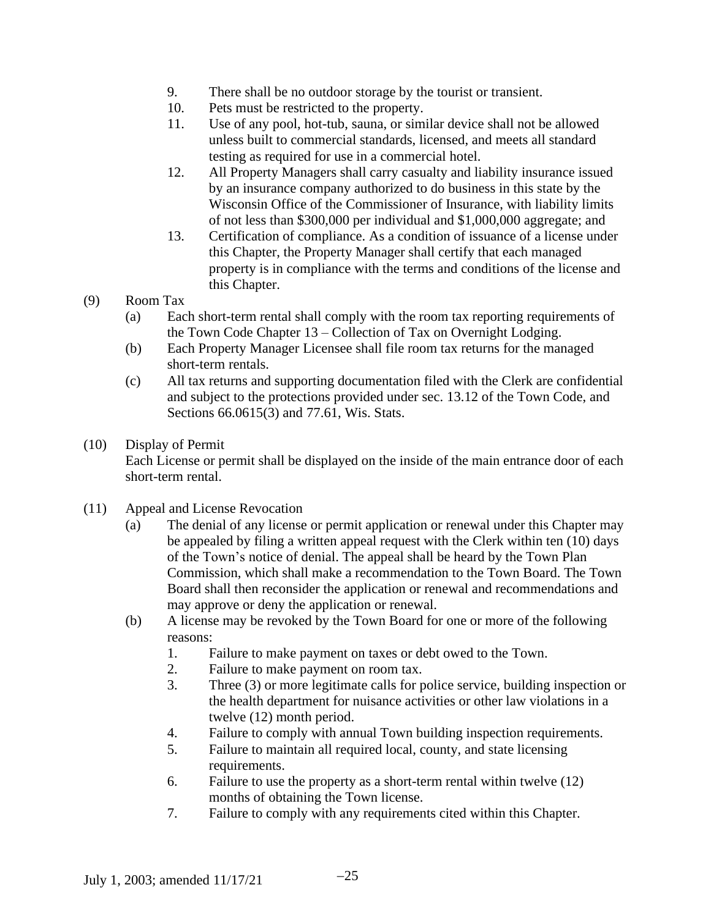- 9. There shall be no outdoor storage by the tourist or transient.
- 10. Pets must be restricted to the property.
- 11. Use of any pool, hot-tub, sauna, or similar device shall not be allowed unless built to commercial standards, licensed, and meets all standard testing as required for use in a commercial hotel.
- 12. All Property Managers shall carry casualty and liability insurance issued by an insurance company authorized to do business in this state by the Wisconsin Office of the Commissioner of Insurance, with liability limits of not less than \$300,000 per individual and \$1,000,000 aggregate; and
- 13. Certification of compliance. As a condition of issuance of a license under this Chapter, the Property Manager shall certify that each managed property is in compliance with the terms and conditions of the license and this Chapter.
- (9) Room Tax
	- (a) Each short-term rental shall comply with the room tax reporting requirements of the Town Code Chapter 13 – Collection of Tax on Overnight Lodging.
	- (b) Each Property Manager Licensee shall file room tax returns for the managed short-term rentals.
	- (c) All tax returns and supporting documentation filed with the Clerk are confidential and subject to the protections provided under sec. 13.12 of the Town Code, and Sections 66.0615(3) and 77.61, Wis. Stats.
- (10) Display of Permit Each License or permit shall be displayed on the inside of the main entrance door of each short-term rental.
- (11) Appeal and License Revocation
	- (a) The denial of any license or permit application or renewal under this Chapter may be appealed by filing a written appeal request with the Clerk within ten (10) days of the Town's notice of denial. The appeal shall be heard by the Town Plan Commission, which shall make a recommendation to the Town Board. The Town Board shall then reconsider the application or renewal and recommendations and may approve or deny the application or renewal.
	- (b) A license may be revoked by the Town Board for one or more of the following reasons:
		- 1. Failure to make payment on taxes or debt owed to the Town.
		- 2. Failure to make payment on room tax.
		- 3. Three (3) or more legitimate calls for police service, building inspection or the health department for nuisance activities or other law violations in a twelve (12) month period.
		- 4. Failure to comply with annual Town building inspection requirements.
		- 5. Failure to maintain all required local, county, and state licensing requirements.
		- 6. Failure to use the property as a short-term rental within twelve (12) months of obtaining the Town license.
		- 7. Failure to comply with any requirements cited within this Chapter.